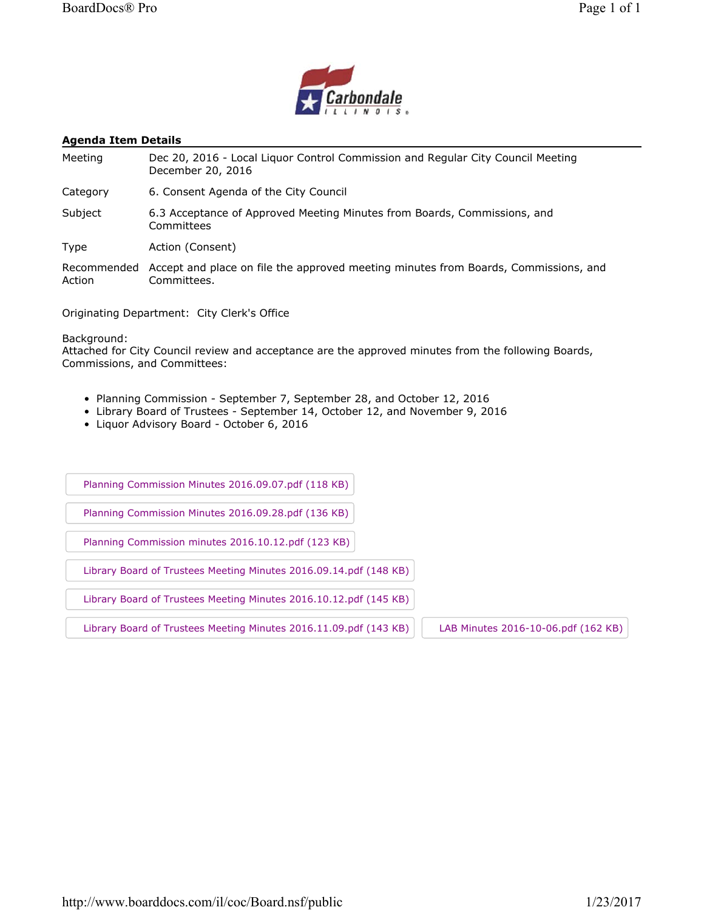

#### **Agenda Item Details**

Meeting Dec 20, 2016 - Local Liquor Control Commission and Regular City Council Meeting December 20, 2016

Category 6. Consent Agenda of the City Council

Subject 6.3 Acceptance of Approved Meeting Minutes from Boards, Commissions, and Committees

Type Action (Consent)

Recommended Accept and place on file the approved meeting minutes from Boards, Commissions, and Action Committees.

Originating Department: City Clerk's Office

Background:

Attached for City Council review and acceptance are the approved minutes from the following Boards, Commissions, and Committees:

- Planning Commission September 7, September 28, and October 12, 2016
- Library Board of Trustees September 14, October 12, and November 9, 2016
- Liquor Advisory Board October 6, 2016

Planning Commission Minutes 2016.09.07.pdf (118 KB)

Planning Commission Minutes 2016.09.28.pdf (136 KB)

Planning Commission minutes 2016.10.12.pdf (123 KB)

Library Board of Trustees Meeting Minutes 2016.09.14.pdf (148 KB)

Library Board of Trustees Meeting Minutes 2016.10.12.pdf (145 KB)

Library Board of Trustees Meeting Minutes 2016.11.09.pdf (143 KB) | LAB Minutes 2016-10-06.pdf (162 KB)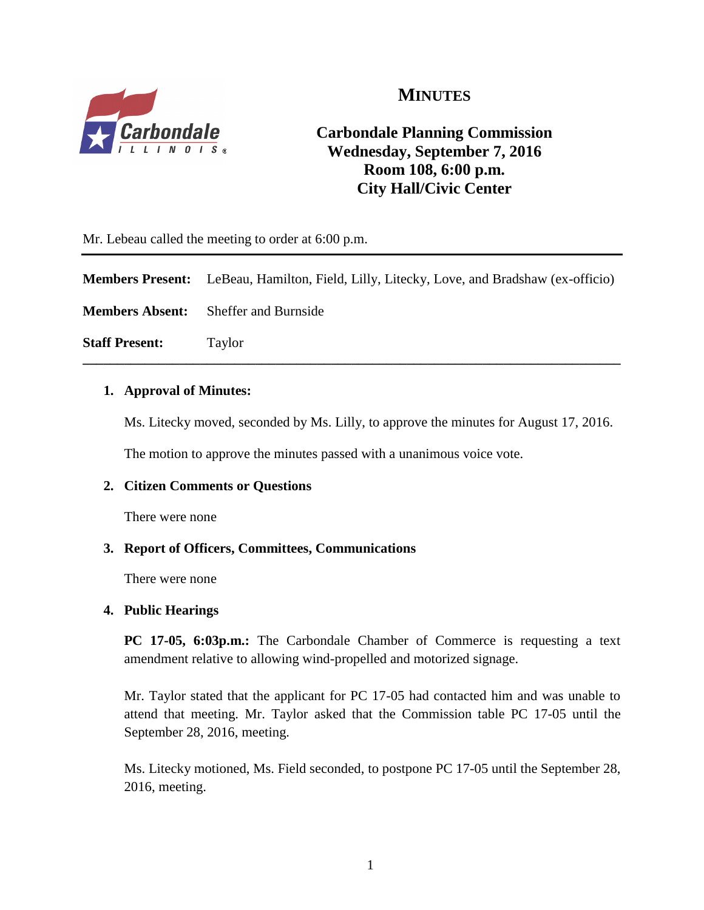

# **MINUTES**

# **Carbondale Planning Commission Wednesday, September 7, 2016 Room 108, 6:00 p.m. City Hall/Civic Center**

Mr. Lebeau called the meeting to order at 6:00 p.m.

| Members Present: LeBeau, Hamilton, Field, Lilly, Litecky, Love, and Bradshaw (ex-officio) |  |  |  |
|-------------------------------------------------------------------------------------------|--|--|--|
|                                                                                           |  |  |  |

**\_\_\_\_\_\_\_\_\_\_\_\_\_\_\_\_\_\_\_\_\_\_\_\_\_\_\_\_\_\_\_\_\_\_\_\_\_\_\_\_\_\_\_\_\_\_\_\_\_\_\_\_\_\_\_\_\_\_\_\_\_\_\_\_\_\_\_\_\_\_\_\_\_\_\_\_\_\_**

**Members Absent:** Sheffer and Burnside

**Staff Present:** Taylor

#### **1. Approval of Minutes:**

Ms. Litecky moved, seconded by Ms. Lilly, to approve the minutes for August 17, 2016.

The motion to approve the minutes passed with a unanimous voice vote.

## **2. Citizen Comments or Questions**

There were none

#### **3. Report of Officers, Committees, Communications**

There were none

#### **4. Public Hearings**

**PC 17-05, 6:03p.m.:** The Carbondale Chamber of Commerce is requesting a text amendment relative to allowing wind-propelled and motorized signage.

Mr. Taylor stated that the applicant for PC 17-05 had contacted him and was unable to attend that meeting. Mr. Taylor asked that the Commission table PC 17-05 until the September 28, 2016, meeting.

Ms. Litecky motioned, Ms. Field seconded, to postpone PC 17-05 until the September 28, 2016, meeting.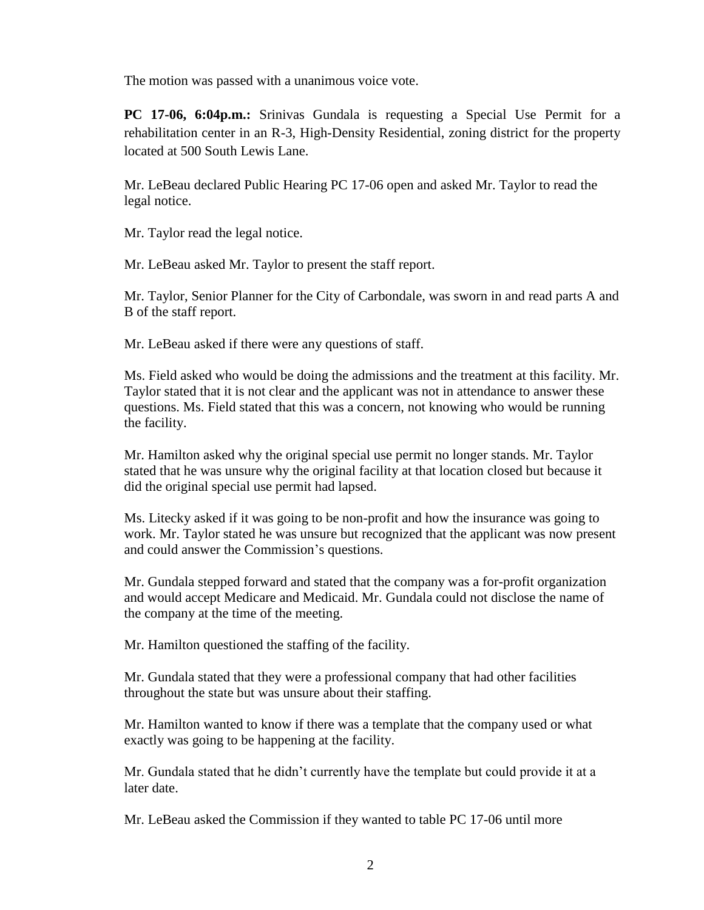The motion was passed with a unanimous voice vote.

**PC 17-06, 6:04p.m.:** Srinivas Gundala is requesting a Special Use Permit for a rehabilitation center in an R-3, High-Density Residential, zoning district for the property located at 500 South Lewis Lane.

Mr. LeBeau declared Public Hearing PC 17-06 open and asked Mr. Taylor to read the legal notice.

Mr. Taylor read the legal notice.

Mr. LeBeau asked Mr. Taylor to present the staff report.

Mr. Taylor, Senior Planner for the City of Carbondale, was sworn in and read parts A and B of the staff report.

Mr. LeBeau asked if there were any questions of staff.

Ms. Field asked who would be doing the admissions and the treatment at this facility. Mr. Taylor stated that it is not clear and the applicant was not in attendance to answer these questions. Ms. Field stated that this was a concern, not knowing who would be running the facility.

Mr. Hamilton asked why the original special use permit no longer stands. Mr. Taylor stated that he was unsure why the original facility at that location closed but because it did the original special use permit had lapsed.

Ms. Litecky asked if it was going to be non-profit and how the insurance was going to work. Mr. Taylor stated he was unsure but recognized that the applicant was now present and could answer the Commission's questions.

Mr. Gundala stepped forward and stated that the company was a for-profit organization and would accept Medicare and Medicaid. Mr. Gundala could not disclose the name of the company at the time of the meeting.

Mr. Hamilton questioned the staffing of the facility.

Mr. Gundala stated that they were a professional company that had other facilities throughout the state but was unsure about their staffing.

Mr. Hamilton wanted to know if there was a template that the company used or what exactly was going to be happening at the facility.

Mr. Gundala stated that he didn't currently have the template but could provide it at a later date.

Mr. LeBeau asked the Commission if they wanted to table PC 17-06 until more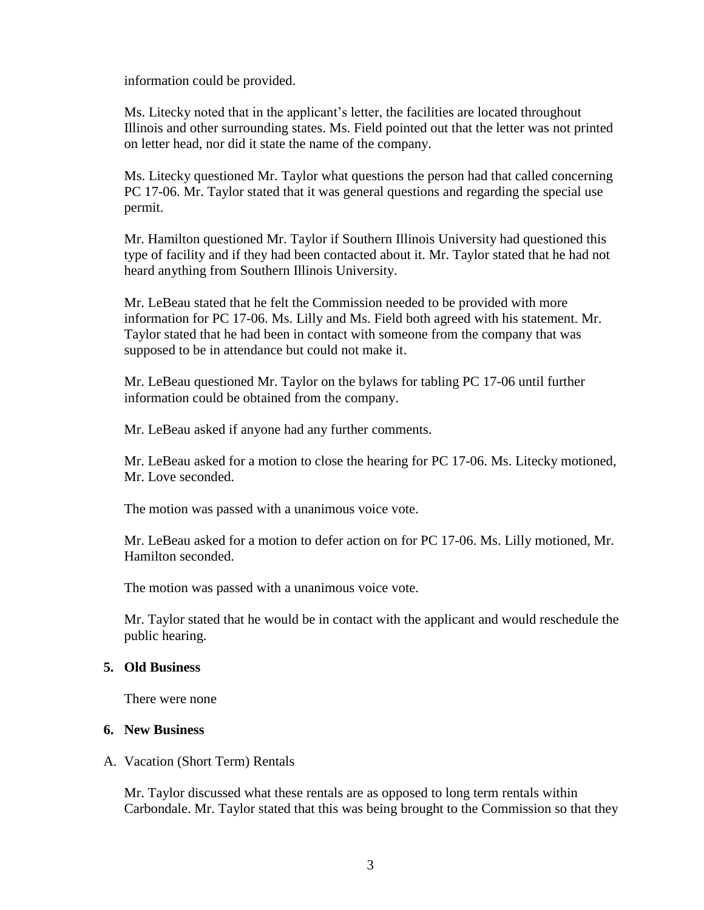information could be provided.

Ms. Litecky noted that in the applicant's letter, the facilities are located throughout Illinois and other surrounding states. Ms. Field pointed out that the letter was not printed on letter head, nor did it state the name of the company.

Ms. Litecky questioned Mr. Taylor what questions the person had that called concerning PC 17-06. Mr. Taylor stated that it was general questions and regarding the special use permit.

Mr. Hamilton questioned Mr. Taylor if Southern Illinois University had questioned this type of facility and if they had been contacted about it. Mr. Taylor stated that he had not heard anything from Southern Illinois University.

Mr. LeBeau stated that he felt the Commission needed to be provided with more information for PC 17-06. Ms. Lilly and Ms. Field both agreed with his statement. Mr. Taylor stated that he had been in contact with someone from the company that was supposed to be in attendance but could not make it.

Mr. LeBeau questioned Mr. Taylor on the bylaws for tabling PC 17-06 until further information could be obtained from the company.

Mr. LeBeau asked if anyone had any further comments.

Mr. LeBeau asked for a motion to close the hearing for PC 17-06. Ms. Litecky motioned, Mr. Love seconded.

The motion was passed with a unanimous voice vote.

Mr. LeBeau asked for a motion to defer action on for PC 17-06. Ms. Lilly motioned, Mr. Hamilton seconded.

The motion was passed with a unanimous voice vote.

Mr. Taylor stated that he would be in contact with the applicant and would reschedule the public hearing.

#### **5. Old Business**

There were none

#### **6. New Business**

#### A. Vacation (Short Term) Rentals

Mr. Taylor discussed what these rentals are as opposed to long term rentals within Carbondale. Mr. Taylor stated that this was being brought to the Commission so that they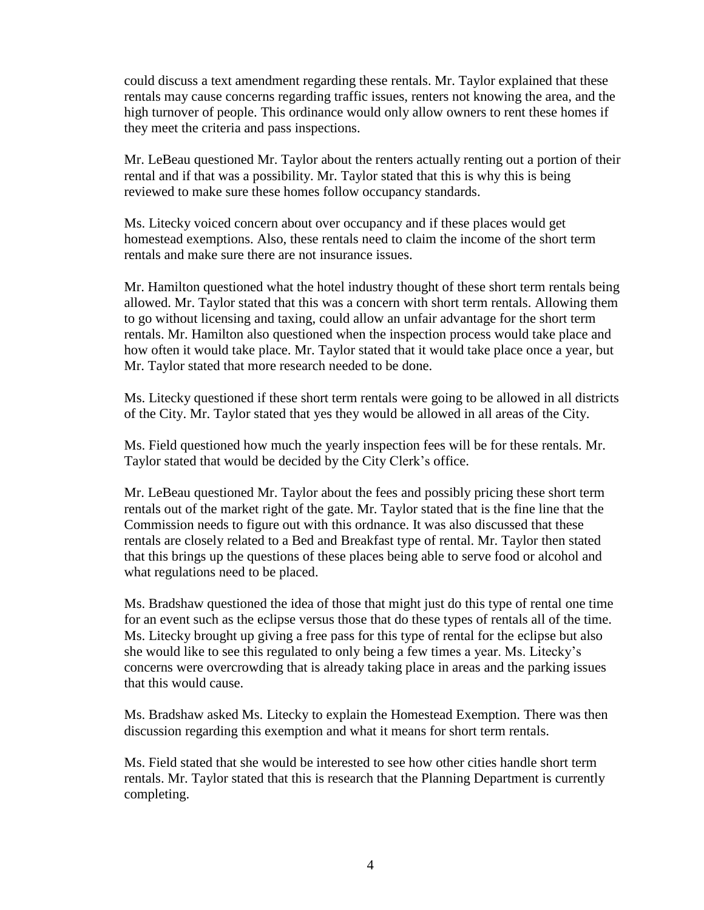could discuss a text amendment regarding these rentals. Mr. Taylor explained that these rentals may cause concerns regarding traffic issues, renters not knowing the area, and the high turnover of people. This ordinance would only allow owners to rent these homes if they meet the criteria and pass inspections.

Mr. LeBeau questioned Mr. Taylor about the renters actually renting out a portion of their rental and if that was a possibility. Mr. Taylor stated that this is why this is being reviewed to make sure these homes follow occupancy standards.

Ms. Litecky voiced concern about over occupancy and if these places would get homestead exemptions. Also, these rentals need to claim the income of the short term rentals and make sure there are not insurance issues.

Mr. Hamilton questioned what the hotel industry thought of these short term rentals being allowed. Mr. Taylor stated that this was a concern with short term rentals. Allowing them to go without licensing and taxing, could allow an unfair advantage for the short term rentals. Mr. Hamilton also questioned when the inspection process would take place and how often it would take place. Mr. Taylor stated that it would take place once a year, but Mr. Taylor stated that more research needed to be done.

Ms. Litecky questioned if these short term rentals were going to be allowed in all districts of the City. Mr. Taylor stated that yes they would be allowed in all areas of the City.

Ms. Field questioned how much the yearly inspection fees will be for these rentals. Mr. Taylor stated that would be decided by the City Clerk's office.

Mr. LeBeau questioned Mr. Taylor about the fees and possibly pricing these short term rentals out of the market right of the gate. Mr. Taylor stated that is the fine line that the Commission needs to figure out with this ordnance. It was also discussed that these rentals are closely related to a Bed and Breakfast type of rental. Mr. Taylor then stated that this brings up the questions of these places being able to serve food or alcohol and what regulations need to be placed.

Ms. Bradshaw questioned the idea of those that might just do this type of rental one time for an event such as the eclipse versus those that do these types of rentals all of the time. Ms. Litecky brought up giving a free pass for this type of rental for the eclipse but also she would like to see this regulated to only being a few times a year. Ms. Litecky's concerns were overcrowding that is already taking place in areas and the parking issues that this would cause.

Ms. Bradshaw asked Ms. Litecky to explain the Homestead Exemption. There was then discussion regarding this exemption and what it means for short term rentals.

Ms. Field stated that she would be interested to see how other cities handle short term rentals. Mr. Taylor stated that this is research that the Planning Department is currently completing.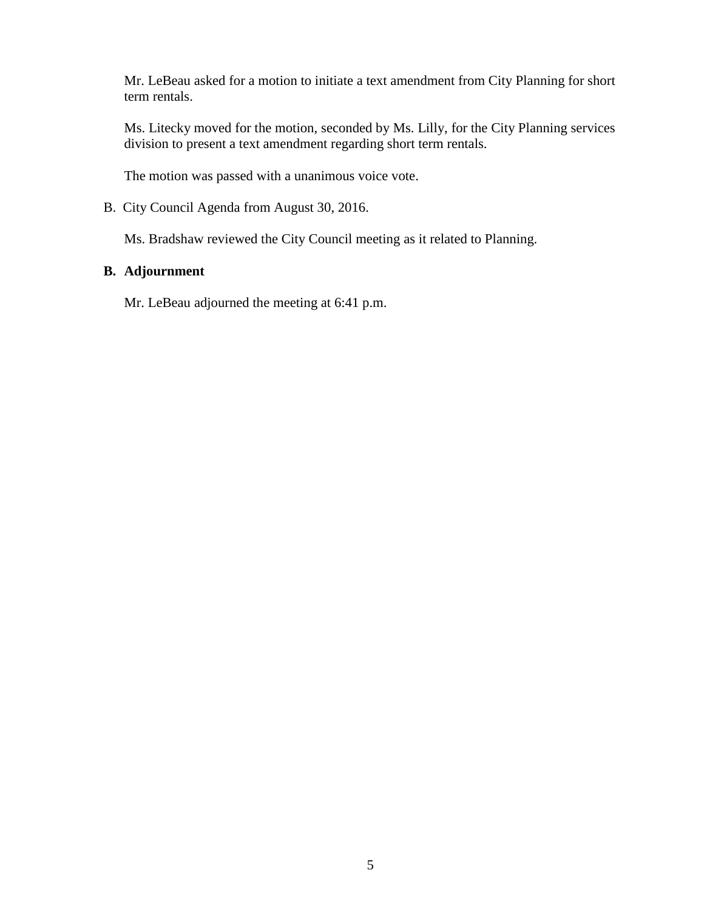Mr. LeBeau asked for a motion to initiate a text amendment from City Planning for short term rentals.

Ms. Litecky moved for the motion, seconded by Ms. Lilly, for the City Planning services division to present a text amendment regarding short term rentals.

The motion was passed with a unanimous voice vote.

B. City Council Agenda from August 30, 2016.

Ms. Bradshaw reviewed the City Council meeting as it related to Planning.

#### **B. Adjournment**

Mr. LeBeau adjourned the meeting at 6:41 p.m.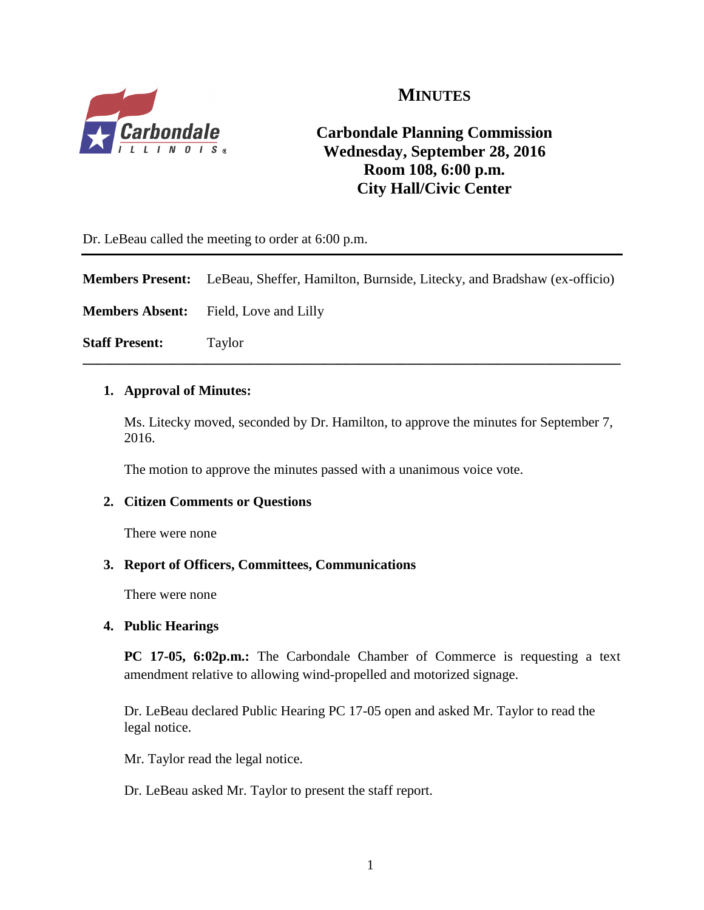

# **MINUTES**

# **Carbondale Planning Commission Wednesday, September 28, 2016 Room 108, 6:00 p.m. City Hall/Civic Center**

Dr. LeBeau called the meeting to order at 6:00 p.m.

**Members Present:** LeBeau, Sheffer, Hamilton, Burnside, Litecky, and Bradshaw (ex-officio)

**\_\_\_\_\_\_\_\_\_\_\_\_\_\_\_\_\_\_\_\_\_\_\_\_\_\_\_\_\_\_\_\_\_\_\_\_\_\_\_\_\_\_\_\_\_\_\_\_\_\_\_\_\_\_\_\_\_\_\_\_\_\_\_\_\_\_\_\_\_\_\_\_\_\_\_\_\_\_**

**Members Absent:** Field, Love and Lilly

**Staff Present:** Taylor

#### **1. Approval of Minutes:**

Ms. Litecky moved, seconded by Dr. Hamilton, to approve the minutes for September 7, 2016.

The motion to approve the minutes passed with a unanimous voice vote.

## **2. Citizen Comments or Questions**

There were none

#### **3. Report of Officers, Committees, Communications**

There were none

#### **4. Public Hearings**

**PC 17-05, 6:02p.m.:** The Carbondale Chamber of Commerce is requesting a text amendment relative to allowing wind-propelled and motorized signage.

Dr. LeBeau declared Public Hearing PC 17-05 open and asked Mr. Taylor to read the legal notice.

Mr. Taylor read the legal notice.

Dr. LeBeau asked Mr. Taylor to present the staff report.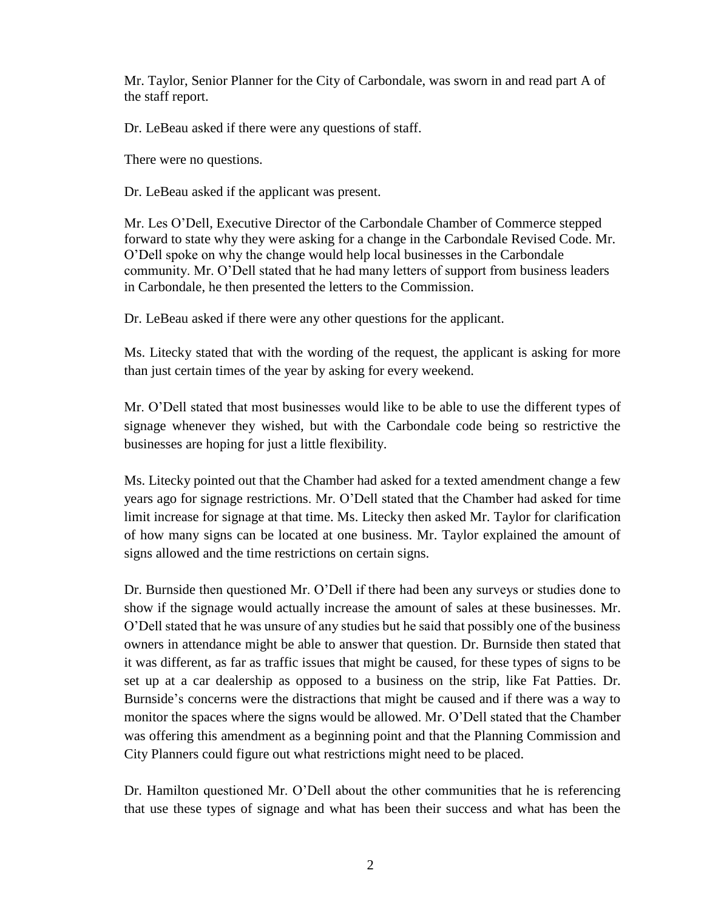Mr. Taylor, Senior Planner for the City of Carbondale, was sworn in and read part A of the staff report.

Dr. LeBeau asked if there were any questions of staff.

There were no questions.

Dr. LeBeau asked if the applicant was present.

Mr. Les O'Dell, Executive Director of the Carbondale Chamber of Commerce stepped forward to state why they were asking for a change in the Carbondale Revised Code. Mr. O'Dell spoke on why the change would help local businesses in the Carbondale community. Mr. O'Dell stated that he had many letters of support from business leaders in Carbondale, he then presented the letters to the Commission.

Dr. LeBeau asked if there were any other questions for the applicant.

Ms. Litecky stated that with the wording of the request, the applicant is asking for more than just certain times of the year by asking for every weekend.

Mr. O'Dell stated that most businesses would like to be able to use the different types of signage whenever they wished, but with the Carbondale code being so restrictive the businesses are hoping for just a little flexibility.

Ms. Litecky pointed out that the Chamber had asked for a texted amendment change a few years ago for signage restrictions. Mr. O'Dell stated that the Chamber had asked for time limit increase for signage at that time. Ms. Litecky then asked Mr. Taylor for clarification of how many signs can be located at one business. Mr. Taylor explained the amount of signs allowed and the time restrictions on certain signs.

Dr. Burnside then questioned Mr. O'Dell if there had been any surveys or studies done to show if the signage would actually increase the amount of sales at these businesses. Mr. O'Dell stated that he was unsure of any studies but he said that possibly one of the business owners in attendance might be able to answer that question. Dr. Burnside then stated that it was different, as far as traffic issues that might be caused, for these types of signs to be set up at a car dealership as opposed to a business on the strip, like Fat Patties. Dr. Burnside's concerns were the distractions that might be caused and if there was a way to monitor the spaces where the signs would be allowed. Mr. O'Dell stated that the Chamber was offering this amendment as a beginning point and that the Planning Commission and City Planners could figure out what restrictions might need to be placed.

Dr. Hamilton questioned Mr. O'Dell about the other communities that he is referencing that use these types of signage and what has been their success and what has been the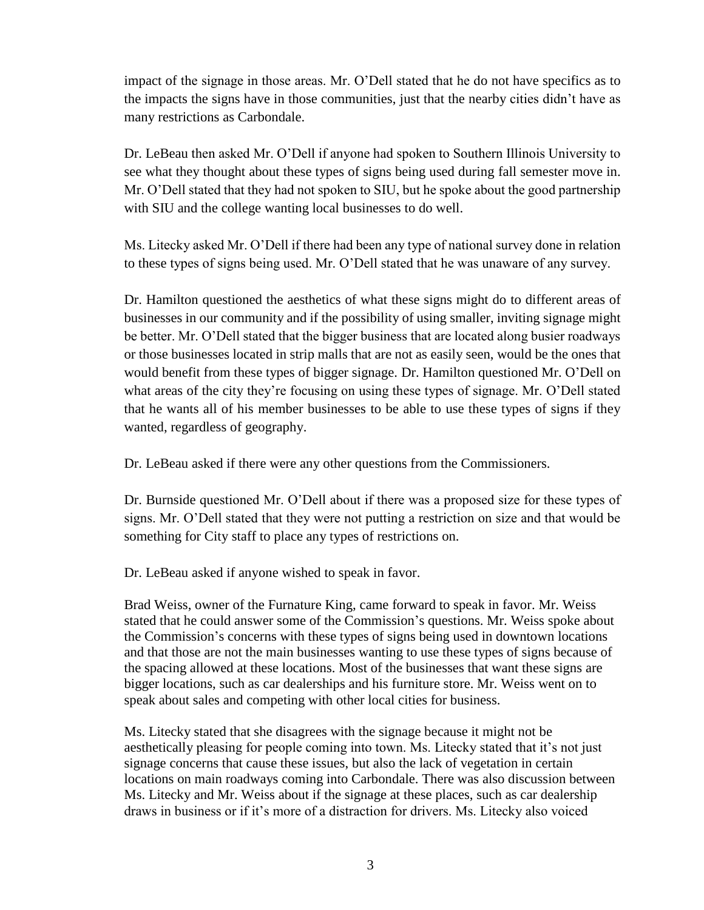impact of the signage in those areas. Mr. O'Dell stated that he do not have specifics as to the impacts the signs have in those communities, just that the nearby cities didn't have as many restrictions as Carbondale.

Dr. LeBeau then asked Mr. O'Dell if anyone had spoken to Southern Illinois University to see what they thought about these types of signs being used during fall semester move in. Mr. O'Dell stated that they had not spoken to SIU, but he spoke about the good partnership with SIU and the college wanting local businesses to do well.

Ms. Litecky asked Mr. O'Dell if there had been any type of national survey done in relation to these types of signs being used. Mr. O'Dell stated that he was unaware of any survey.

Dr. Hamilton questioned the aesthetics of what these signs might do to different areas of businesses in our community and if the possibility of using smaller, inviting signage might be better. Mr. O'Dell stated that the bigger business that are located along busier roadways or those businesses located in strip malls that are not as easily seen, would be the ones that would benefit from these types of bigger signage. Dr. Hamilton questioned Mr. O'Dell on what areas of the city they're focusing on using these types of signage. Mr. O'Dell stated that he wants all of his member businesses to be able to use these types of signs if they wanted, regardless of geography.

Dr. LeBeau asked if there were any other questions from the Commissioners.

Dr. Burnside questioned Mr. O'Dell about if there was a proposed size for these types of signs. Mr. O'Dell stated that they were not putting a restriction on size and that would be something for City staff to place any types of restrictions on.

Dr. LeBeau asked if anyone wished to speak in favor.

Brad Weiss, owner of the Furnature King, came forward to speak in favor. Mr. Weiss stated that he could answer some of the Commission's questions. Mr. Weiss spoke about the Commission's concerns with these types of signs being used in downtown locations and that those are not the main businesses wanting to use these types of signs because of the spacing allowed at these locations. Most of the businesses that want these signs are bigger locations, such as car dealerships and his furniture store. Mr. Weiss went on to speak about sales and competing with other local cities for business.

Ms. Litecky stated that she disagrees with the signage because it might not be aesthetically pleasing for people coming into town. Ms. Litecky stated that it's not just signage concerns that cause these issues, but also the lack of vegetation in certain locations on main roadways coming into Carbondale. There was also discussion between Ms. Litecky and Mr. Weiss about if the signage at these places, such as car dealership draws in business or if it's more of a distraction for drivers. Ms. Litecky also voiced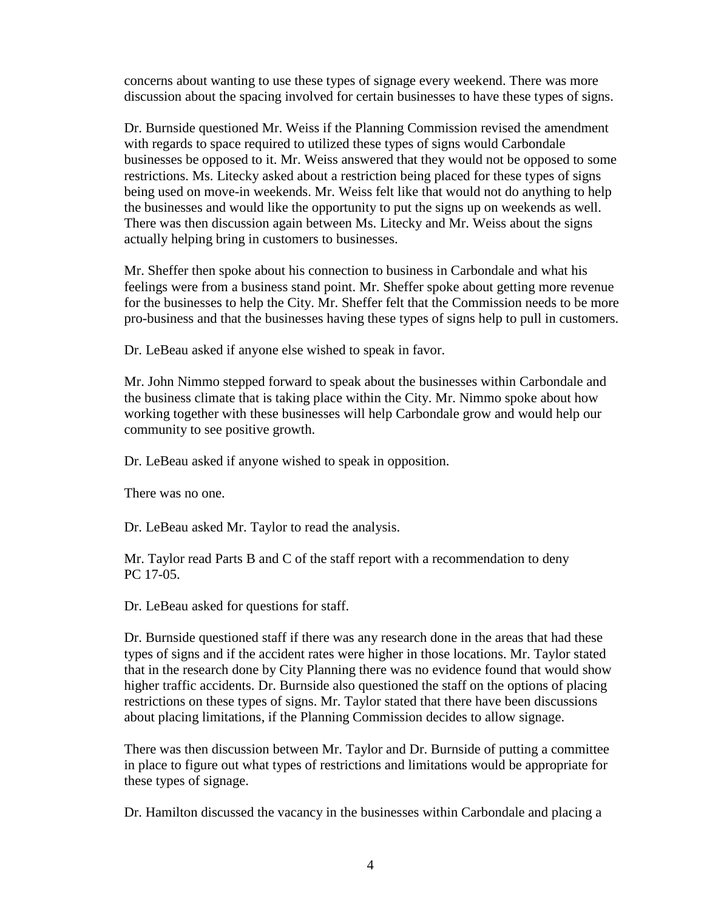concerns about wanting to use these types of signage every weekend. There was more discussion about the spacing involved for certain businesses to have these types of signs.

Dr. Burnside questioned Mr. Weiss if the Planning Commission revised the amendment with regards to space required to utilized these types of signs would Carbondale businesses be opposed to it. Mr. Weiss answered that they would not be opposed to some restrictions. Ms. Litecky asked about a restriction being placed for these types of signs being used on move-in weekends. Mr. Weiss felt like that would not do anything to help the businesses and would like the opportunity to put the signs up on weekends as well. There was then discussion again between Ms. Litecky and Mr. Weiss about the signs actually helping bring in customers to businesses.

Mr. Sheffer then spoke about his connection to business in Carbondale and what his feelings were from a business stand point. Mr. Sheffer spoke about getting more revenue for the businesses to help the City. Mr. Sheffer felt that the Commission needs to be more pro-business and that the businesses having these types of signs help to pull in customers.

Dr. LeBeau asked if anyone else wished to speak in favor.

Mr. John Nimmo stepped forward to speak about the businesses within Carbondale and the business climate that is taking place within the City. Mr. Nimmo spoke about how working together with these businesses will help Carbondale grow and would help our community to see positive growth.

Dr. LeBeau asked if anyone wished to speak in opposition.

There was no one.

Dr. LeBeau asked Mr. Taylor to read the analysis.

Mr. Taylor read Parts B and C of the staff report with a recommendation to deny PC 17-05.

Dr. LeBeau asked for questions for staff.

Dr. Burnside questioned staff if there was any research done in the areas that had these types of signs and if the accident rates were higher in those locations. Mr. Taylor stated that in the research done by City Planning there was no evidence found that would show higher traffic accidents. Dr. Burnside also questioned the staff on the options of placing restrictions on these types of signs. Mr. Taylor stated that there have been discussions about placing limitations, if the Planning Commission decides to allow signage.

There was then discussion between Mr. Taylor and Dr. Burnside of putting a committee in place to figure out what types of restrictions and limitations would be appropriate for these types of signage.

Dr. Hamilton discussed the vacancy in the businesses within Carbondale and placing a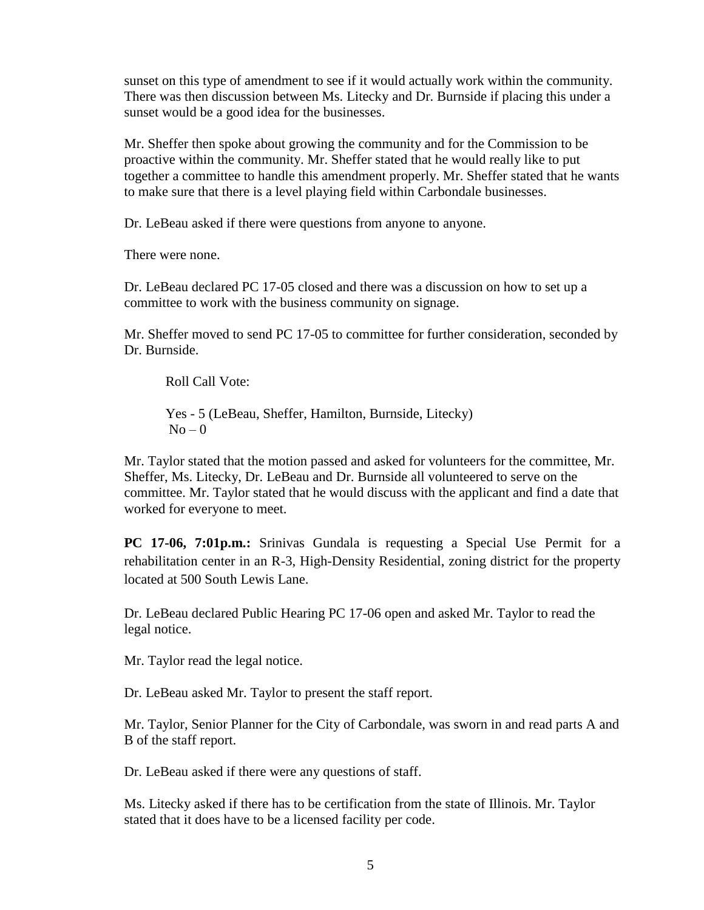sunset on this type of amendment to see if it would actually work within the community. There was then discussion between Ms. Litecky and Dr. Burnside if placing this under a sunset would be a good idea for the businesses.

Mr. Sheffer then spoke about growing the community and for the Commission to be proactive within the community. Mr. Sheffer stated that he would really like to put together a committee to handle this amendment properly. Mr. Sheffer stated that he wants to make sure that there is a level playing field within Carbondale businesses.

Dr. LeBeau asked if there were questions from anyone to anyone.

There were none.

Dr. LeBeau declared PC 17-05 closed and there was a discussion on how to set up a committee to work with the business community on signage.

Mr. Sheffer moved to send PC 17-05 to committee for further consideration, seconded by Dr. Burnside.

Roll Call Vote:

Yes - 5 (LeBeau, Sheffer, Hamilton, Burnside, Litecky)  $No - 0$ 

Mr. Taylor stated that the motion passed and asked for volunteers for the committee, Mr. Sheffer, Ms. Litecky, Dr. LeBeau and Dr. Burnside all volunteered to serve on the committee. Mr. Taylor stated that he would discuss with the applicant and find a date that worked for everyone to meet.

**PC 17-06, 7:01p.m.:** Srinivas Gundala is requesting a Special Use Permit for a rehabilitation center in an R-3, High-Density Residential, zoning district for the property located at 500 South Lewis Lane.

Dr. LeBeau declared Public Hearing PC 17-06 open and asked Mr. Taylor to read the legal notice.

Mr. Taylor read the legal notice.

Dr. LeBeau asked Mr. Taylor to present the staff report.

Mr. Taylor, Senior Planner for the City of Carbondale, was sworn in and read parts A and B of the staff report.

Dr. LeBeau asked if there were any questions of staff.

Ms. Litecky asked if there has to be certification from the state of Illinois. Mr. Taylor stated that it does have to be a licensed facility per code.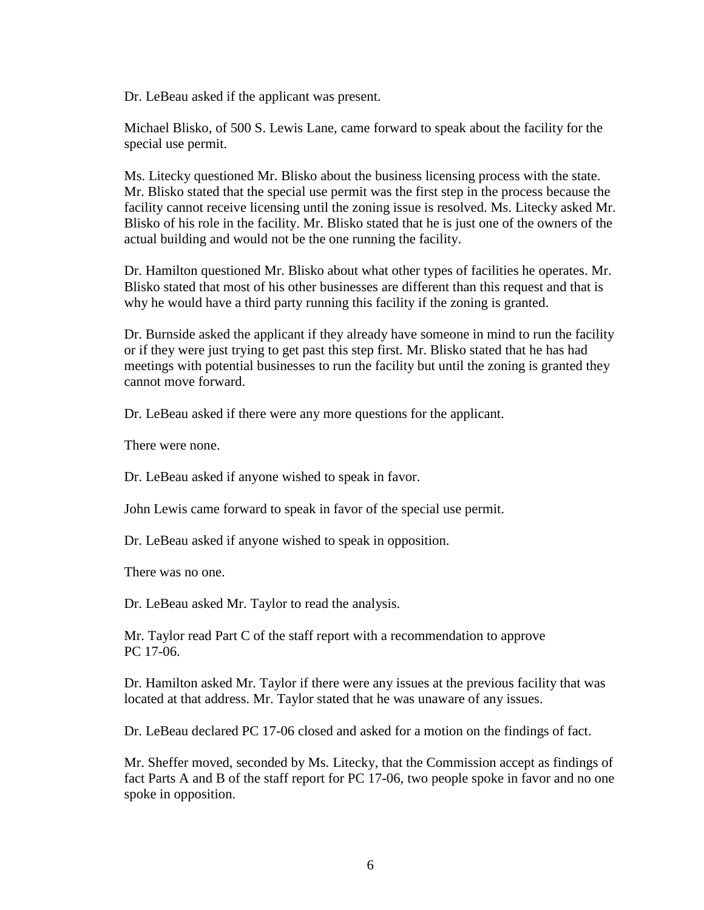Dr. LeBeau asked if the applicant was present.

Michael Blisko, of 500 S. Lewis Lane, came forward to speak about the facility for the special use permit.

Ms. Litecky questioned Mr. Blisko about the business licensing process with the state. Mr. Blisko stated that the special use permit was the first step in the process because the facility cannot receive licensing until the zoning issue is resolved. Ms. Litecky asked Mr. Blisko of his role in the facility. Mr. Blisko stated that he is just one of the owners of the actual building and would not be the one running the facility.

Dr. Hamilton questioned Mr. Blisko about what other types of facilities he operates. Mr. Blisko stated that most of his other businesses are different than this request and that is why he would have a third party running this facility if the zoning is granted.

Dr. Burnside asked the applicant if they already have someone in mind to run the facility or if they were just trying to get past this step first. Mr. Blisko stated that he has had meetings with potential businesses to run the facility but until the zoning is granted they cannot move forward.

Dr. LeBeau asked if there were any more questions for the applicant.

There were none.

Dr. LeBeau asked if anyone wished to speak in favor.

John Lewis came forward to speak in favor of the special use permit.

Dr. LeBeau asked if anyone wished to speak in opposition.

There was no one.

Dr. LeBeau asked Mr. Taylor to read the analysis.

Mr. Taylor read Part C of the staff report with a recommendation to approve PC 17-06.

Dr. Hamilton asked Mr. Taylor if there were any issues at the previous facility that was located at that address. Mr. Taylor stated that he was unaware of any issues.

Dr. LeBeau declared PC 17-06 closed and asked for a motion on the findings of fact.

Mr. Sheffer moved, seconded by Ms. Litecky, that the Commission accept as findings of fact Parts A and B of the staff report for PC 17-06, two people spoke in favor and no one spoke in opposition.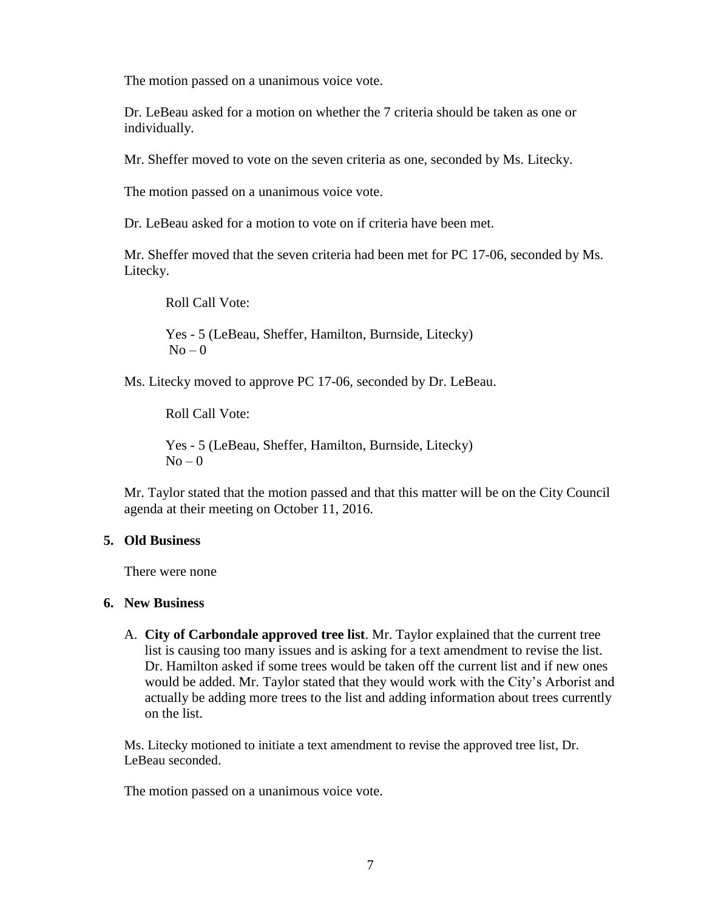The motion passed on a unanimous voice vote.

Dr. LeBeau asked for a motion on whether the 7 criteria should be taken as one or individually.

Mr. Sheffer moved to vote on the seven criteria as one, seconded by Ms. Litecky.

The motion passed on a unanimous voice vote.

Dr. LeBeau asked for a motion to vote on if criteria have been met.

Mr. Sheffer moved that the seven criteria had been met for PC 17-06, seconded by Ms. Litecky.

Roll Call Vote:

Yes - 5 (LeBeau, Sheffer, Hamilton, Burnside, Litecky)  $No-0$ 

Ms. Litecky moved to approve PC 17-06, seconded by Dr. LeBeau.

Roll Call Vote:

Yes - 5 (LeBeau, Sheffer, Hamilton, Burnside, Litecky)  $No - 0$ 

Mr. Taylor stated that the motion passed and that this matter will be on the City Council agenda at their meeting on October 11, 2016.

#### **5. Old Business**

There were none

#### **6. New Business**

A. **City of Carbondale approved tree list**. Mr. Taylor explained that the current tree list is causing too many issues and is asking for a text amendment to revise the list. Dr. Hamilton asked if some trees would be taken off the current list and if new ones would be added. Mr. Taylor stated that they would work with the City's Arborist and actually be adding more trees to the list and adding information about trees currently on the list.

Ms. Litecky motioned to initiate a text amendment to revise the approved tree list, Dr. LeBeau seconded.

The motion passed on a unanimous voice vote.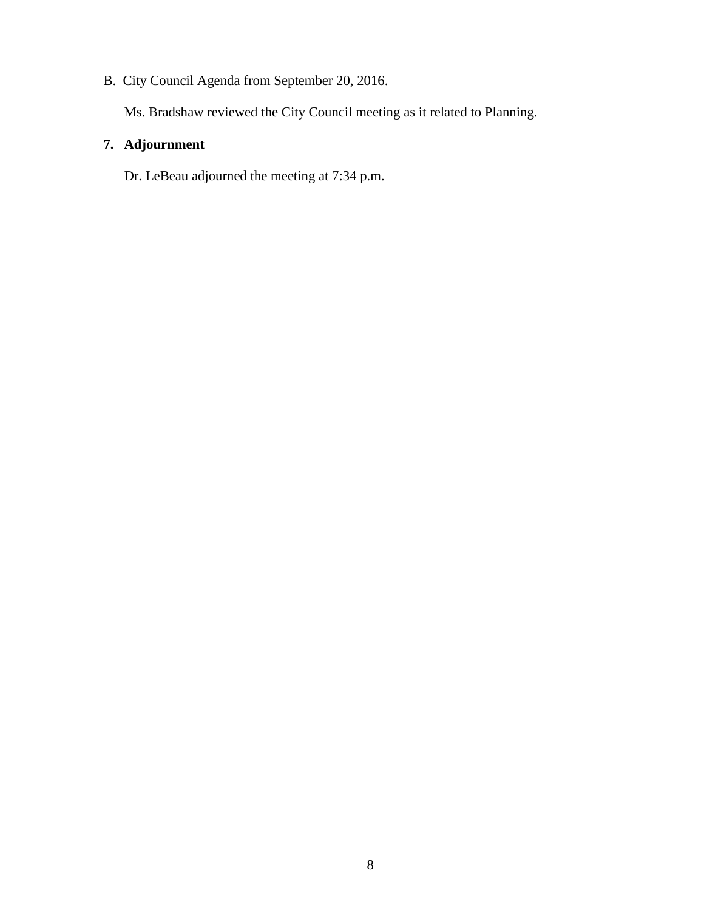B. City Council Agenda from September 20, 2016.

Ms. Bradshaw reviewed the City Council meeting as it related to Planning.

## **7. Adjournment**

Dr. LeBeau adjourned the meeting at 7:34 p.m.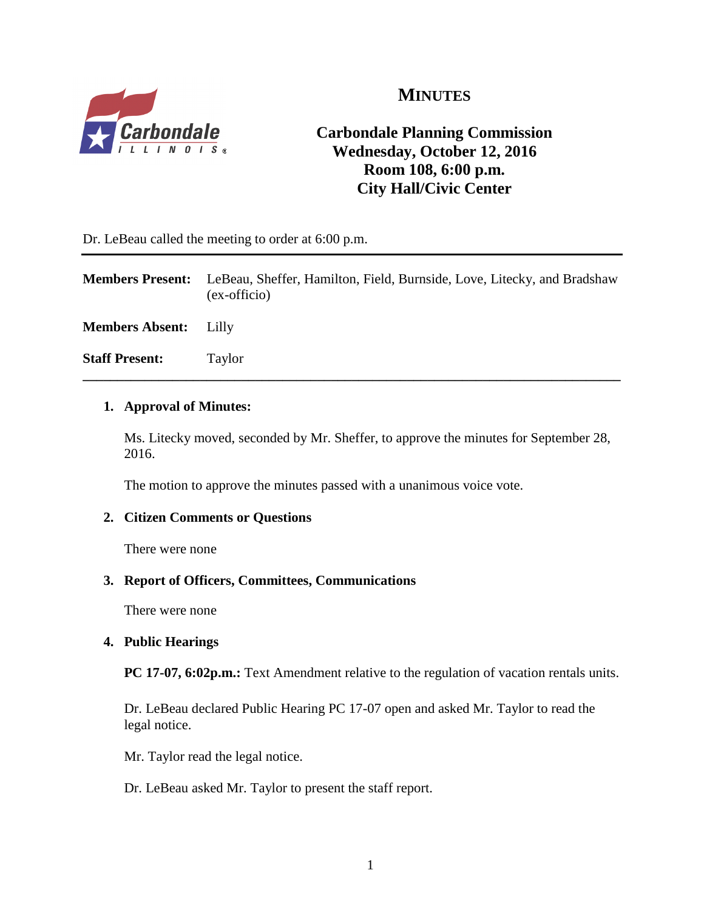

# **MINUTES**

# **Carbondale Planning Commission Wednesday, October 12, 2016 Room 108, 6:00 p.m. City Hall/Civic Center**

Dr. LeBeau called the meeting to order at 6:00 p.m.

**Members Present:** LeBeau, Sheffer, Hamilton, Field, Burnside, Love, Litecky, and Bradshaw (ex-officio)

**\_\_\_\_\_\_\_\_\_\_\_\_\_\_\_\_\_\_\_\_\_\_\_\_\_\_\_\_\_\_\_\_\_\_\_\_\_\_\_\_\_\_\_\_\_\_\_\_\_\_\_\_\_\_\_\_\_\_\_\_\_\_\_\_\_\_\_\_\_\_\_\_\_\_\_\_\_\_**

**Members Absent:** Lilly

**Staff Present:** Taylor

#### **1. Approval of Minutes:**

Ms. Litecky moved, seconded by Mr. Sheffer, to approve the minutes for September 28, 2016.

The motion to approve the minutes passed with a unanimous voice vote.

## **2. Citizen Comments or Questions**

There were none

#### **3. Report of Officers, Committees, Communications**

There were none

#### **4. Public Hearings**

**PC 17-07, 6:02p.m.:** Text Amendment relative to the regulation of vacation rentals units.

Dr. LeBeau declared Public Hearing PC 17-07 open and asked Mr. Taylor to read the legal notice.

Mr. Taylor read the legal notice.

Dr. LeBeau asked Mr. Taylor to present the staff report.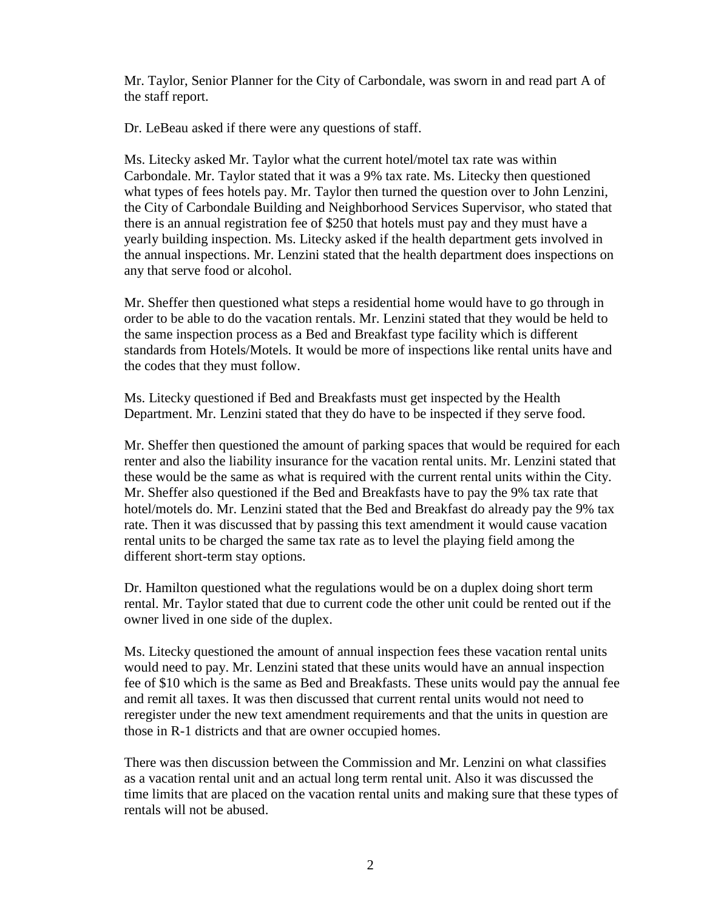Mr. Taylor, Senior Planner for the City of Carbondale, was sworn in and read part A of the staff report.

Dr. LeBeau asked if there were any questions of staff.

Ms. Litecky asked Mr. Taylor what the current hotel/motel tax rate was within Carbondale. Mr. Taylor stated that it was a 9% tax rate. Ms. Litecky then questioned what types of fees hotels pay. Mr. Taylor then turned the question over to John Lenzini, the City of Carbondale Building and Neighborhood Services Supervisor, who stated that there is an annual registration fee of \$250 that hotels must pay and they must have a yearly building inspection. Ms. Litecky asked if the health department gets involved in the annual inspections. Mr. Lenzini stated that the health department does inspections on any that serve food or alcohol.

Mr. Sheffer then questioned what steps a residential home would have to go through in order to be able to do the vacation rentals. Mr. Lenzini stated that they would be held to the same inspection process as a Bed and Breakfast type facility which is different standards from Hotels/Motels. It would be more of inspections like rental units have and the codes that they must follow.

Ms. Litecky questioned if Bed and Breakfasts must get inspected by the Health Department. Mr. Lenzini stated that they do have to be inspected if they serve food.

Mr. Sheffer then questioned the amount of parking spaces that would be required for each renter and also the liability insurance for the vacation rental units. Mr. Lenzini stated that these would be the same as what is required with the current rental units within the City. Mr. Sheffer also questioned if the Bed and Breakfasts have to pay the 9% tax rate that hotel/motels do. Mr. Lenzini stated that the Bed and Breakfast do already pay the 9% tax rate. Then it was discussed that by passing this text amendment it would cause vacation rental units to be charged the same tax rate as to level the playing field among the different short-term stay options.

Dr. Hamilton questioned what the regulations would be on a duplex doing short term rental. Mr. Taylor stated that due to current code the other unit could be rented out if the owner lived in one side of the duplex.

Ms. Litecky questioned the amount of annual inspection fees these vacation rental units would need to pay. Mr. Lenzini stated that these units would have an annual inspection fee of \$10 which is the same as Bed and Breakfasts. These units would pay the annual fee and remit all taxes. It was then discussed that current rental units would not need to reregister under the new text amendment requirements and that the units in question are those in R-1 districts and that are owner occupied homes.

There was then discussion between the Commission and Mr. Lenzini on what classifies as a vacation rental unit and an actual long term rental unit. Also it was discussed the time limits that are placed on the vacation rental units and making sure that these types of rentals will not be abused.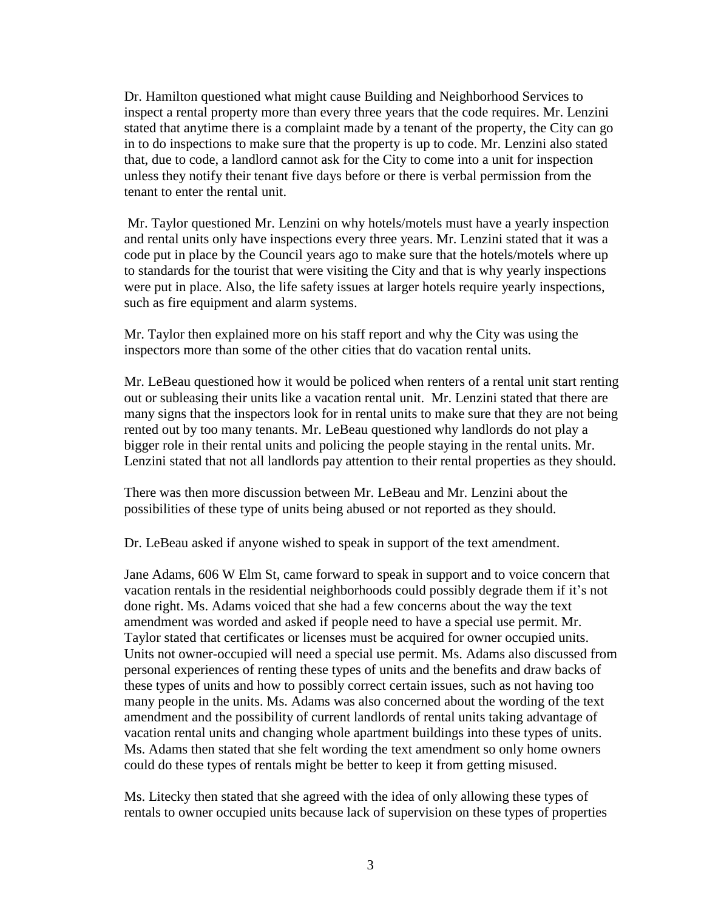Dr. Hamilton questioned what might cause Building and Neighborhood Services to inspect a rental property more than every three years that the code requires. Mr. Lenzini stated that anytime there is a complaint made by a tenant of the property, the City can go in to do inspections to make sure that the property is up to code. Mr. Lenzini also stated that, due to code, a landlord cannot ask for the City to come into a unit for inspection unless they notify their tenant five days before or there is verbal permission from the tenant to enter the rental unit.

Mr. Taylor questioned Mr. Lenzini on why hotels/motels must have a yearly inspection and rental units only have inspections every three years. Mr. Lenzini stated that it was a code put in place by the Council years ago to make sure that the hotels/motels where up to standards for the tourist that were visiting the City and that is why yearly inspections were put in place. Also, the life safety issues at larger hotels require yearly inspections, such as fire equipment and alarm systems.

Mr. Taylor then explained more on his staff report and why the City was using the inspectors more than some of the other cities that do vacation rental units.

Mr. LeBeau questioned how it would be policed when renters of a rental unit start renting out or subleasing their units like a vacation rental unit. Mr. Lenzini stated that there are many signs that the inspectors look for in rental units to make sure that they are not being rented out by too many tenants. Mr. LeBeau questioned why landlords do not play a bigger role in their rental units and policing the people staying in the rental units. Mr. Lenzini stated that not all landlords pay attention to their rental properties as they should.

There was then more discussion between Mr. LeBeau and Mr. Lenzini about the possibilities of these type of units being abused or not reported as they should.

Dr. LeBeau asked if anyone wished to speak in support of the text amendment.

Jane Adams, 606 W Elm St, came forward to speak in support and to voice concern that vacation rentals in the residential neighborhoods could possibly degrade them if it's not done right. Ms. Adams voiced that she had a few concerns about the way the text amendment was worded and asked if people need to have a special use permit. Mr. Taylor stated that certificates or licenses must be acquired for owner occupied units. Units not owner-occupied will need a special use permit. Ms. Adams also discussed from personal experiences of renting these types of units and the benefits and draw backs of these types of units and how to possibly correct certain issues, such as not having too many people in the units. Ms. Adams was also concerned about the wording of the text amendment and the possibility of current landlords of rental units taking advantage of vacation rental units and changing whole apartment buildings into these types of units. Ms. Adams then stated that she felt wording the text amendment so only home owners could do these types of rentals might be better to keep it from getting misused.

Ms. Litecky then stated that she agreed with the idea of only allowing these types of rentals to owner occupied units because lack of supervision on these types of properties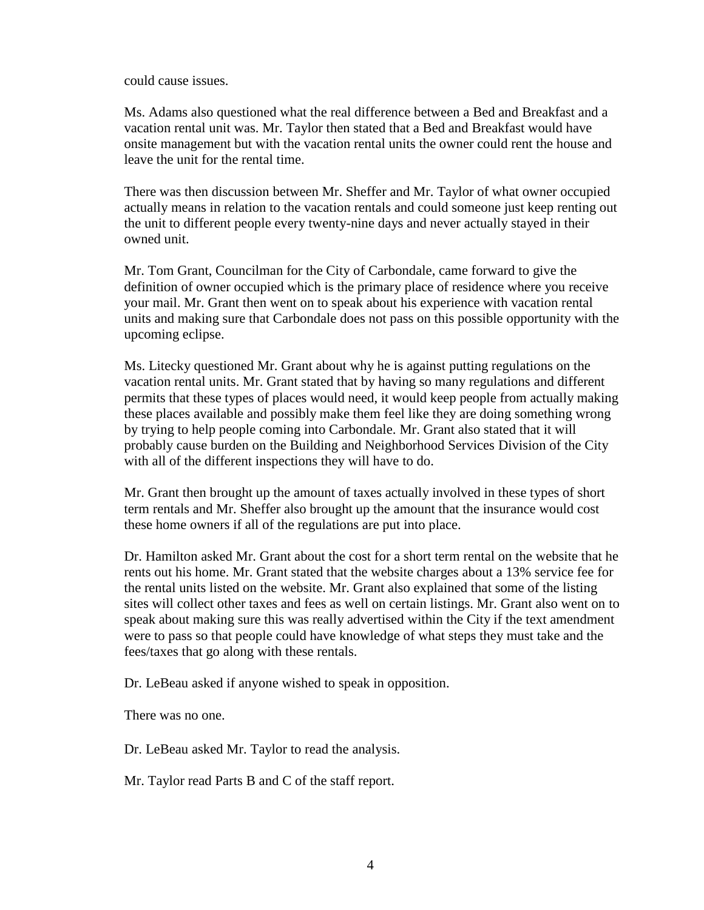could cause issues.

Ms. Adams also questioned what the real difference between a Bed and Breakfast and a vacation rental unit was. Mr. Taylor then stated that a Bed and Breakfast would have onsite management but with the vacation rental units the owner could rent the house and leave the unit for the rental time.

There was then discussion between Mr. Sheffer and Mr. Taylor of what owner occupied actually means in relation to the vacation rentals and could someone just keep renting out the unit to different people every twenty-nine days and never actually stayed in their owned unit.

Mr. Tom Grant, Councilman for the City of Carbondale, came forward to give the definition of owner occupied which is the primary place of residence where you receive your mail. Mr. Grant then went on to speak about his experience with vacation rental units and making sure that Carbondale does not pass on this possible opportunity with the upcoming eclipse.

Ms. Litecky questioned Mr. Grant about why he is against putting regulations on the vacation rental units. Mr. Grant stated that by having so many regulations and different permits that these types of places would need, it would keep people from actually making these places available and possibly make them feel like they are doing something wrong by trying to help people coming into Carbondale. Mr. Grant also stated that it will probably cause burden on the Building and Neighborhood Services Division of the City with all of the different inspections they will have to do.

Mr. Grant then brought up the amount of taxes actually involved in these types of short term rentals and Mr. Sheffer also brought up the amount that the insurance would cost these home owners if all of the regulations are put into place.

Dr. Hamilton asked Mr. Grant about the cost for a short term rental on the website that he rents out his home. Mr. Grant stated that the website charges about a 13% service fee for the rental units listed on the website. Mr. Grant also explained that some of the listing sites will collect other taxes and fees as well on certain listings. Mr. Grant also went on to speak about making sure this was really advertised within the City if the text amendment were to pass so that people could have knowledge of what steps they must take and the fees/taxes that go along with these rentals.

Dr. LeBeau asked if anyone wished to speak in opposition.

There was no one.

Dr. LeBeau asked Mr. Taylor to read the analysis.

Mr. Taylor read Parts B and C of the staff report.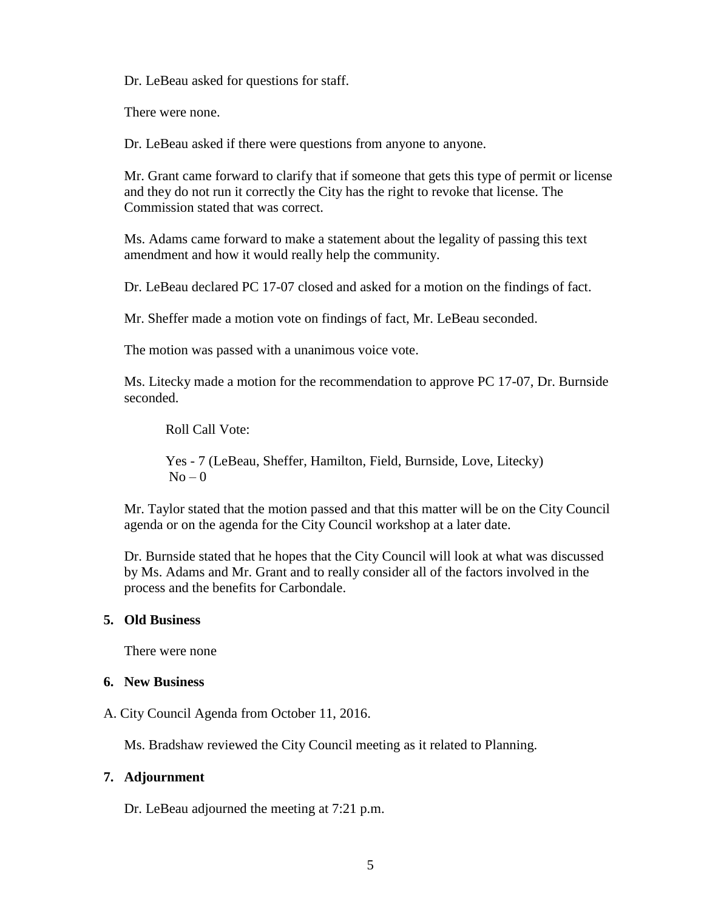Dr. LeBeau asked for questions for staff.

There were none.

Dr. LeBeau asked if there were questions from anyone to anyone.

Mr. Grant came forward to clarify that if someone that gets this type of permit or license and they do not run it correctly the City has the right to revoke that license. The Commission stated that was correct.

Ms. Adams came forward to make a statement about the legality of passing this text amendment and how it would really help the community.

Dr. LeBeau declared PC 17-07 closed and asked for a motion on the findings of fact.

Mr. Sheffer made a motion vote on findings of fact, Mr. LeBeau seconded.

The motion was passed with a unanimous voice vote.

Ms. Litecky made a motion for the recommendation to approve PC 17-07, Dr. Burnside seconded.

Roll Call Vote:

Yes - 7 (LeBeau, Sheffer, Hamilton, Field, Burnside, Love, Litecky)  $No - 0$ 

Mr. Taylor stated that the motion passed and that this matter will be on the City Council agenda or on the agenda for the City Council workshop at a later date.

Dr. Burnside stated that he hopes that the City Council will look at what was discussed by Ms. Adams and Mr. Grant and to really consider all of the factors involved in the process and the benefits for Carbondale.

#### **5. Old Business**

There were none

#### **6. New Business**

A. City Council Agenda from October 11, 2016.

Ms. Bradshaw reviewed the City Council meeting as it related to Planning.

#### **7. Adjournment**

Dr. LeBeau adjourned the meeting at 7:21 p.m.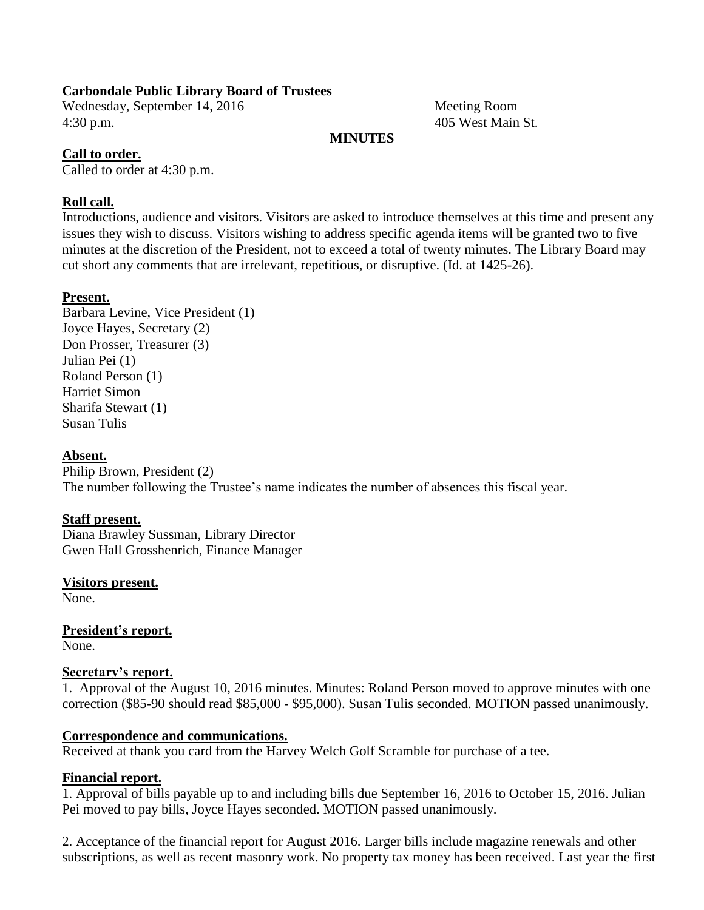#### **Carbondale Public Library Board of Trustees**

Wednesday, September 14, 2016 Meeting Room 4:30 p.m. 405 West Main St.

#### **MINUTES**

#### **Call to order.**

Called to order at 4:30 p.m.

#### **Roll call.**

Introductions, audience and visitors. Visitors are asked to introduce themselves at this time and present any issues they wish to discuss. Visitors wishing to address specific agenda items will be granted two to five minutes at the discretion of the President, not to exceed a total of twenty minutes. The Library Board may cut short any comments that are irrelevant, repetitious, or disruptive. (Id. at 1425-26).

#### **Present.**

Barbara Levine, Vice President (1) Joyce Hayes, Secretary (2) Don Prosser, Treasurer (3) Julian Pei (1) Roland Person (1) Harriet Simon Sharifa Stewart (1) Susan Tulis

#### **Absent.**

Philip Brown, President (2) The number following the Trustee's name indicates the number of absences this fiscal year.

#### **Staff present.**

Diana Brawley Sussman, Library Director Gwen Hall Grosshenrich, Finance Manager

**Visitors present.**

None.

**President's report.**

None.

#### **Secretary's report.**

1. Approval of the August 10, 2016 minutes. Minutes: Roland Person moved to approve minutes with one correction (\$85-90 should read \$85,000 - \$95,000). Susan Tulis seconded. MOTION passed unanimously.

#### **Correspondence and communications.**

Received at thank you card from the Harvey Welch Golf Scramble for purchase of a tee.

#### **Financial report.**

1. Approval of bills payable up to and including bills due September 16, 2016 to October 15, 2016. Julian Pei moved to pay bills, Joyce Hayes seconded. MOTION passed unanimously.

2. Acceptance of the financial report for August 2016. Larger bills include magazine renewals and other subscriptions, as well as recent masonry work. No property tax money has been received. Last year the first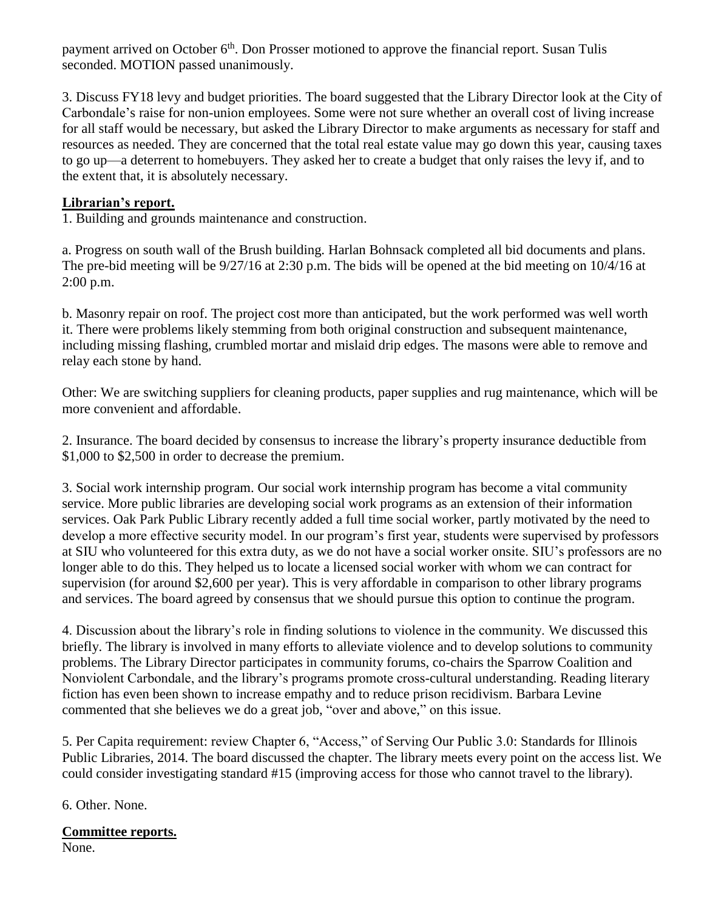payment arrived on October 6<sup>th</sup>. Don Prosser motioned to approve the financial report. Susan Tulis seconded. MOTION passed unanimously.

3. Discuss FY18 levy and budget priorities. The board suggested that the Library Director look at the City of Carbondale's raise for non-union employees. Some were not sure whether an overall cost of living increase for all staff would be necessary, but asked the Library Director to make arguments as necessary for staff and resources as needed. They are concerned that the total real estate value may go down this year, causing taxes to go up—a deterrent to homebuyers. They asked her to create a budget that only raises the levy if, and to the extent that, it is absolutely necessary.

## **Librarian's report.**

1. Building and grounds maintenance and construction.

a. Progress on south wall of the Brush building. Harlan Bohnsack completed all bid documents and plans. The pre-bid meeting will be 9/27/16 at 2:30 p.m. The bids will be opened at the bid meeting on 10/4/16 at 2:00 p.m.

b. Masonry repair on roof. The project cost more than anticipated, but the work performed was well worth it. There were problems likely stemming from both original construction and subsequent maintenance, including missing flashing, crumbled mortar and mislaid drip edges. The masons were able to remove and relay each stone by hand.

Other: We are switching suppliers for cleaning products, paper supplies and rug maintenance, which will be more convenient and affordable.

2. Insurance. The board decided by consensus to increase the library's property insurance deductible from \$1,000 to \$2,500 in order to decrease the premium.

3. Social work internship program. Our social work internship program has become a vital community service. More public libraries are developing social work programs as an extension of their information services. Oak Park Public Library recently added a full time social worker, partly motivated by the need to develop a more effective security model. In our program's first year, students were supervised by professors at SIU who volunteered for this extra duty, as we do not have a social worker onsite. SIU's professors are no longer able to do this. They helped us to locate a licensed social worker with whom we can contract for supervision (for around \$2,600 per year). This is very affordable in comparison to other library programs and services. The board agreed by consensus that we should pursue this option to continue the program.

4. Discussion about the library's role in finding solutions to violence in the community. We discussed this briefly. The library is involved in many efforts to alleviate violence and to develop solutions to community problems. The Library Director participates in community forums, co-chairs the Sparrow Coalition and Nonviolent Carbondale, and the library's programs promote cross-cultural understanding. Reading literary fiction has even been shown to increase empathy and to reduce prison recidivism. Barbara Levine commented that she believes we do a great job, "over and above," on this issue.

5. Per Capita requirement: review Chapter 6, "Access," of Serving Our Public 3.0: Standards for Illinois Public Libraries, 2014. The board discussed the chapter. The library meets every point on the access list. We could consider investigating standard #15 (improving access for those who cannot travel to the library).

6. Other. None.

# **Committee reports.**

None.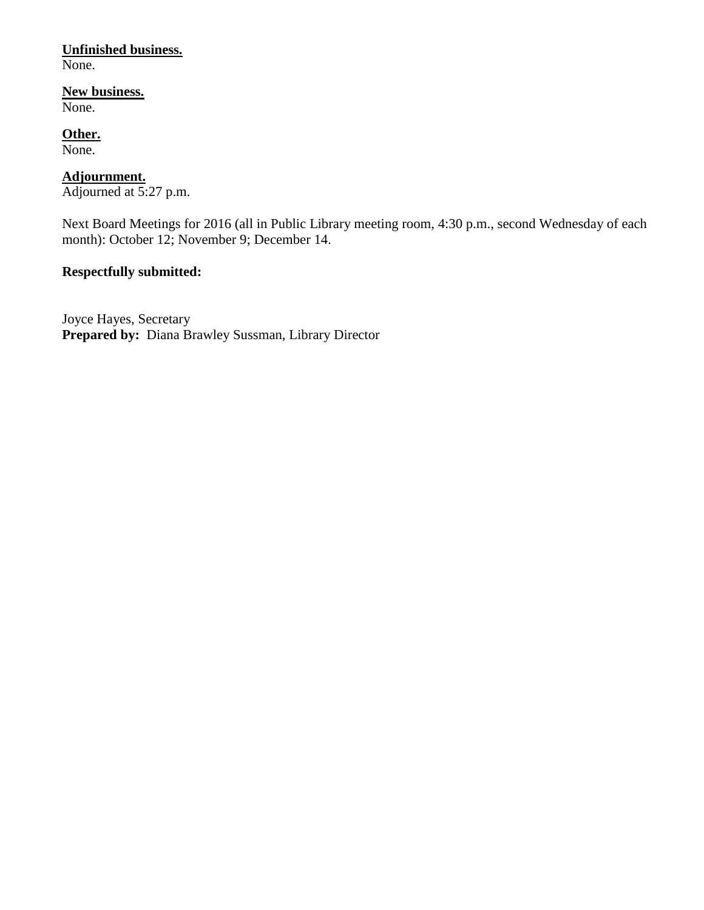## **Unfinished business.**

None.

## **New business.**

None.

## **Other.**

None.

#### **Adjournment.**

Adjourned at 5:27 p.m.

Next Board Meetings for 2016 (all in Public Library meeting room, 4:30 p.m., second Wednesday of each month): October 12; November 9; December 14.

## **Respectfully submitted:**

Joyce Hayes, Secretary **Prepared by:** Diana Brawley Sussman, Library Director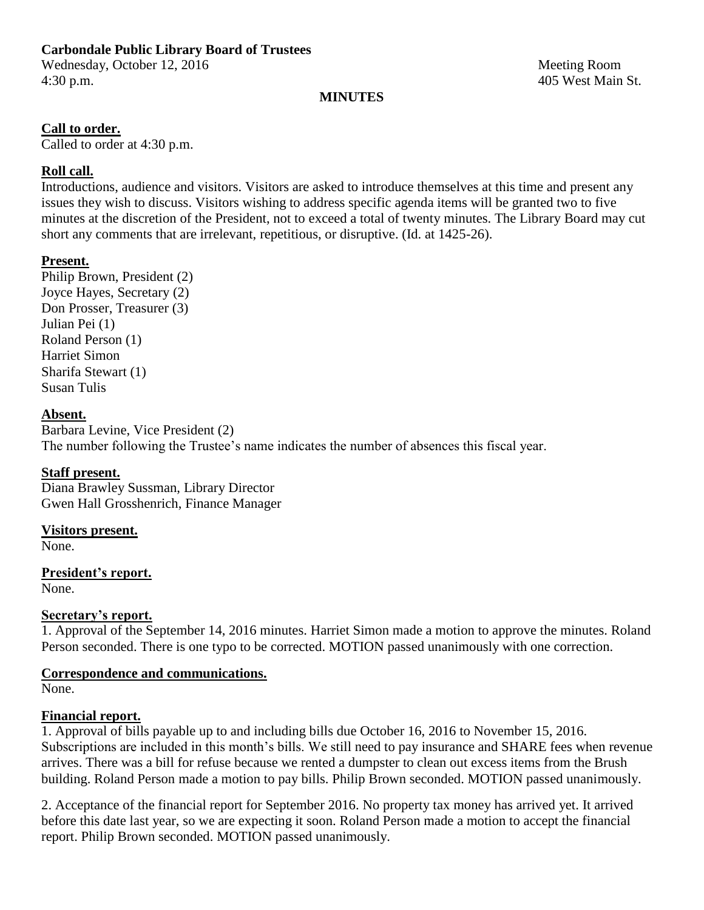# **Carbondale Public Library Board of Trustees**

Wednesday, October 12, 2016 Meeting Room 4:30 p.m. 405 West Main St.

#### **MINUTES**

#### **Call to order.**

Called to order at 4:30 p.m.

## **Roll call.**

Introductions, audience and visitors. Visitors are asked to introduce themselves at this time and present any issues they wish to discuss. Visitors wishing to address specific agenda items will be granted two to five minutes at the discretion of the President, not to exceed a total of twenty minutes. The Library Board may cut short any comments that are irrelevant, repetitious, or disruptive. (Id. at 1425-26).

#### **Present.**

Philip Brown, President (2) Joyce Hayes, Secretary (2) Don Prosser, Treasurer (3) Julian Pei (1) Roland Person (1) Harriet Simon Sharifa Stewart (1) Susan Tulis

#### **Absent.**

Barbara Levine, Vice President (2) The number following the Trustee's name indicates the number of absences this fiscal year.

## **Staff present.**

Diana Brawley Sussman, Library Director Gwen Hall Grosshenrich, Finance Manager

#### **Visitors present.**

None.

## **President's report.**

None.

## **Secretary's report.**

1. Approval of the September 14, 2016 minutes. Harriet Simon made a motion to approve the minutes. Roland Person seconded. There is one typo to be corrected. MOTION passed unanimously with one correction.

## **Correspondence and communications.**

None.

## **Financial report.**

1. Approval of bills payable up to and including bills due October 16, 2016 to November 15, 2016. Subscriptions are included in this month's bills. We still need to pay insurance and SHARE fees when revenue arrives. There was a bill for refuse because we rented a dumpster to clean out excess items from the Brush building. Roland Person made a motion to pay bills. Philip Brown seconded. MOTION passed unanimously.

2. Acceptance of the financial report for September 2016. No property tax money has arrived yet. It arrived before this date last year, so we are expecting it soon. Roland Person made a motion to accept the financial report. Philip Brown seconded. MOTION passed unanimously.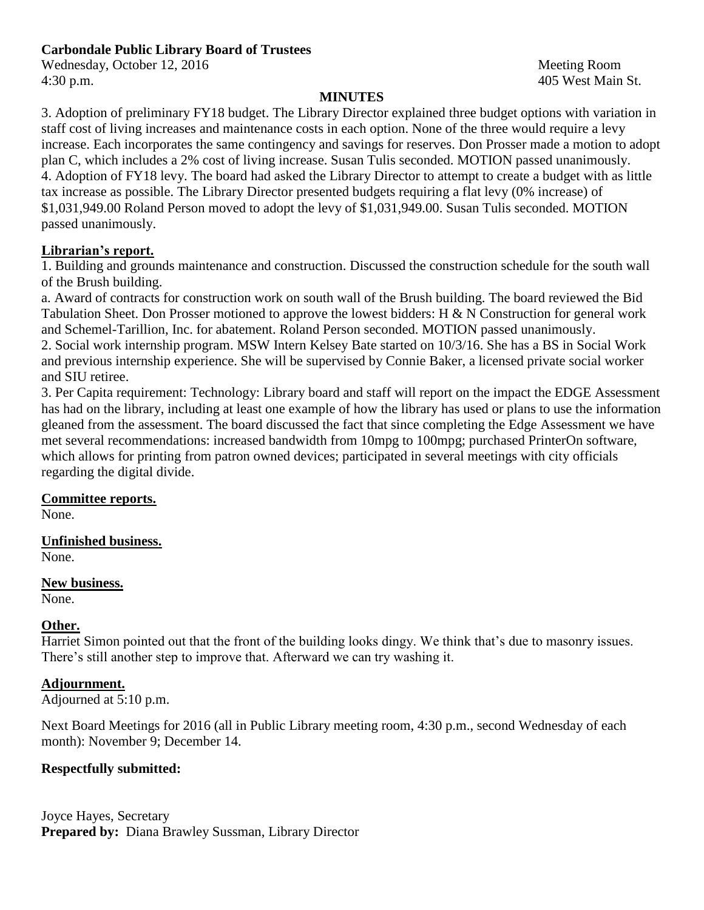Wednesday, October 12, 2016 Meeting Room 4:30 p.m. 405 West Main St.

## **MINUTES**

3. Adoption of preliminary FY18 budget. The Library Director explained three budget options with variation in staff cost of living increases and maintenance costs in each option. None of the three would require a levy increase. Each incorporates the same contingency and savings for reserves. Don Prosser made a motion to adopt plan C, which includes a 2% cost of living increase. Susan Tulis seconded. MOTION passed unanimously. 4. Adoption of FY18 levy. The board had asked the Library Director to attempt to create a budget with as little tax increase as possible. The Library Director presented budgets requiring a flat levy (0% increase) of \$1,031,949.00 Roland Person moved to adopt the levy of \$1,031,949.00. Susan Tulis seconded. MOTION passed unanimously.

## **Librarian's report.**

1. Building and grounds maintenance and construction. Discussed the construction schedule for the south wall of the Brush building.

a. Award of contracts for construction work on south wall of the Brush building. The board reviewed the Bid Tabulation Sheet. Don Prosser motioned to approve the lowest bidders: H & N Construction for general work and Schemel-Tarillion, Inc. for abatement. Roland Person seconded. MOTION passed unanimously. 2. Social work internship program. MSW Intern Kelsey Bate started on 10/3/16. She has a BS in Social Work and previous internship experience. She will be supervised by Connie Baker, a licensed private social worker and SIU retiree.

3. Per Capita requirement: Technology: Library board and staff will report on the impact the EDGE Assessment has had on the library, including at least one example of how the library has used or plans to use the information gleaned from the assessment. The board discussed the fact that since completing the Edge Assessment we have met several recommendations: increased bandwidth from 10mpg to 100mpg; purchased PrinterOn software, which allows for printing from patron owned devices; participated in several meetings with city officials regarding the digital divide.

## **Committee reports.**

None.

## **Unfinished business.**

None.

## **New business.**

None.

## **Other.**

Harriet Simon pointed out that the front of the building looks dingy. We think that's due to masonry issues. There's still another step to improve that. Afterward we can try washing it.

## **Adjournment.**

Adjourned at 5:10 p.m.

Next Board Meetings for 2016 (all in Public Library meeting room, 4:30 p.m., second Wednesday of each month): November 9; December 14.

# **Respectfully submitted:**

Joyce Hayes, Secretary **Prepared by:** Diana Brawley Sussman, Library Director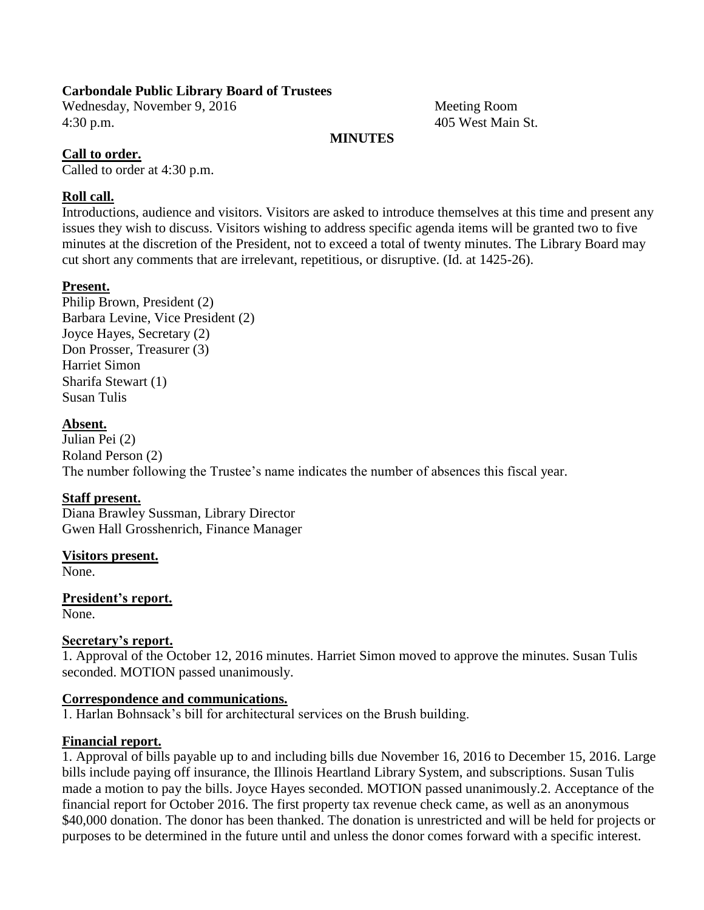#### **Carbondale Public Library Board of Trustees**

Wednesday, November 9, 2016 Meeting Room 4:30 p.m. 405 West Main St.

#### **MINUTES**

#### **Call to order.**

Called to order at 4:30 p.m.

#### **Roll call.**

Introductions, audience and visitors. Visitors are asked to introduce themselves at this time and present any issues they wish to discuss. Visitors wishing to address specific agenda items will be granted two to five minutes at the discretion of the President, not to exceed a total of twenty minutes. The Library Board may cut short any comments that are irrelevant, repetitious, or disruptive. (Id. at 1425-26).

#### **Present.**

Philip Brown, President (2) Barbara Levine, Vice President (2) Joyce Hayes, Secretary (2) Don Prosser, Treasurer (3) Harriet Simon Sharifa Stewart (1) Susan Tulis

#### **Absent.**

Julian Pei (2) Roland Person (2) The number following the Trustee's name indicates the number of absences this fiscal year.

#### **Staff present.**

Diana Brawley Sussman, Library Director Gwen Hall Grosshenrich, Finance Manager

#### **Visitors present.**

None.

**President's report.** None.

#### **Secretary's report.**

1. Approval of the October 12, 2016 minutes. Harriet Simon moved to approve the minutes. Susan Tulis seconded. MOTION passed unanimously.

#### **Correspondence and communications.**

1. Harlan Bohnsack's bill for architectural services on the Brush building.

#### **Financial report.**

1. Approval of bills payable up to and including bills due November 16, 2016 to December 15, 2016. Large bills include paying off insurance, the Illinois Heartland Library System, and subscriptions. Susan Tulis made a motion to pay the bills. Joyce Hayes seconded. MOTION passed unanimously.2. Acceptance of the financial report for October 2016. The first property tax revenue check came, as well as an anonymous \$40,000 donation. The donor has been thanked. The donation is unrestricted and will be held for projects or purposes to be determined in the future until and unless the donor comes forward with a specific interest.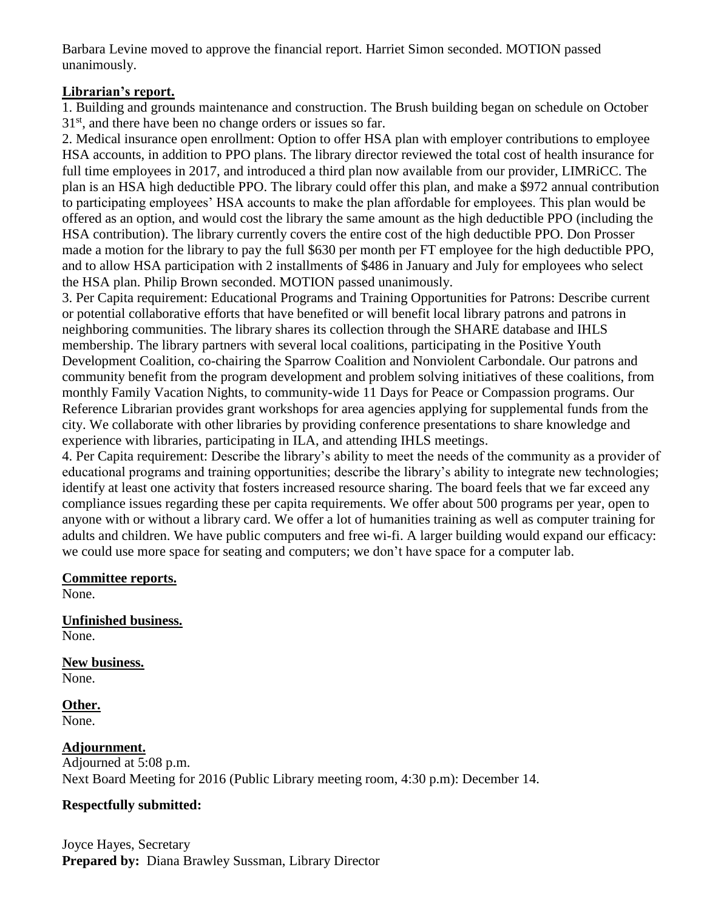Barbara Levine moved to approve the financial report. Harriet Simon seconded. MOTION passed unanimously.

## **Librarian's report.**

1. Building and grounds maintenance and construction. The Brush building began on schedule on October 31<sup>st</sup>, and there have been no change orders or issues so far.

2. Medical insurance open enrollment: Option to offer HSA plan with employer contributions to employee HSA accounts, in addition to PPO plans. The library director reviewed the total cost of health insurance for full time employees in 2017, and introduced a third plan now available from our provider, LIMRiCC. The plan is an HSA high deductible PPO. The library could offer this plan, and make a \$972 annual contribution to participating employees' HSA accounts to make the plan affordable for employees. This plan would be offered as an option, and would cost the library the same amount as the high deductible PPO (including the HSA contribution). The library currently covers the entire cost of the high deductible PPO. Don Prosser made a motion for the library to pay the full \$630 per month per FT employee for the high deductible PPO, and to allow HSA participation with 2 installments of \$486 in January and July for employees who select the HSA plan. Philip Brown seconded. MOTION passed unanimously.

3. Per Capita requirement: Educational Programs and Training Opportunities for Patrons: Describe current or potential collaborative efforts that have benefited or will benefit local library patrons and patrons in neighboring communities. The library shares its collection through the SHARE database and IHLS membership. The library partners with several local coalitions, participating in the Positive Youth Development Coalition, co-chairing the Sparrow Coalition and Nonviolent Carbondale. Our patrons and community benefit from the program development and problem solving initiatives of these coalitions, from monthly Family Vacation Nights, to community-wide 11 Days for Peace or Compassion programs. Our Reference Librarian provides grant workshops for area agencies applying for supplemental funds from the city. We collaborate with other libraries by providing conference presentations to share knowledge and experience with libraries, participating in ILA, and attending IHLS meetings.

4. Per Capita requirement: Describe the library's ability to meet the needs of the community as a provider of educational programs and training opportunities; describe the library's ability to integrate new technologies; identify at least one activity that fosters increased resource sharing. The board feels that we far exceed any compliance issues regarding these per capita requirements. We offer about 500 programs per year, open to anyone with or without a library card. We offer a lot of humanities training as well as computer training for adults and children. We have public computers and free wi-fi. A larger building would expand our efficacy: we could use more space for seating and computers; we don't have space for a computer lab.

## **Committee reports.**

None.

**Unfinished business.** None.

**New business.** None.

**Other.** None.

## **Adjournment.**

Adjourned at 5:08 p.m. Next Board Meeting for 2016 (Public Library meeting room, 4:30 p.m): December 14.

## **Respectfully submitted:**

Joyce Hayes, Secretary **Prepared by:** Diana Brawley Sussman, Library Director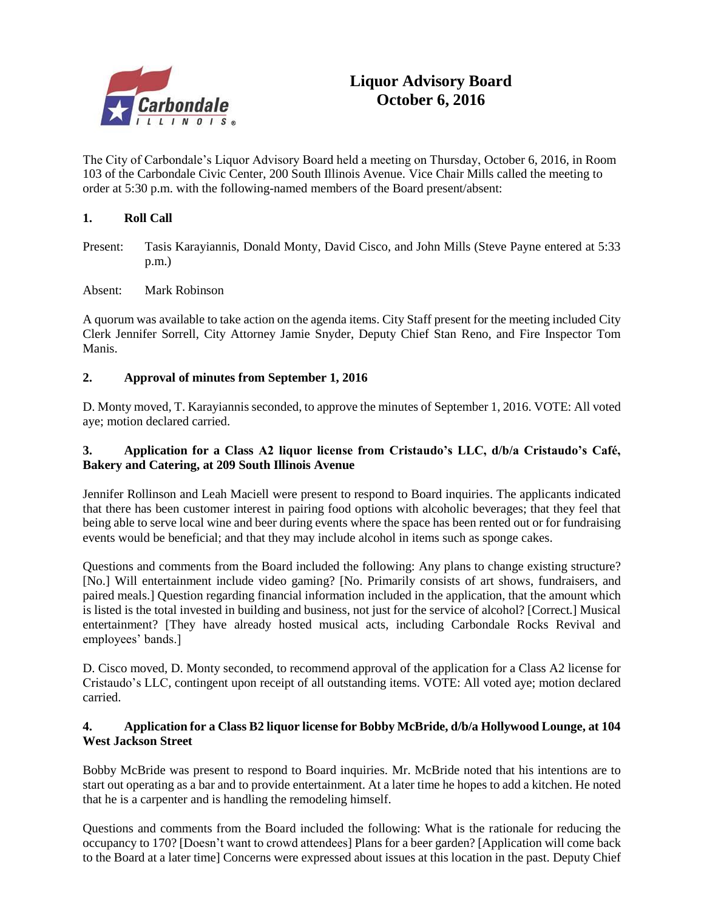

# **Liquor Advisory Board October 6, 2016**

The City of Carbondale's Liquor Advisory Board held a meeting on Thursday, October 6, 2016, in Room 103 of the Carbondale Civic Center, 200 South Illinois Avenue. Vice Chair Mills called the meeting to order at 5:30 p.m. with the following-named members of the Board present/absent:

#### **1. Roll Call**

- Present: Tasis Karayiannis, Donald Monty, David Cisco, and John Mills (Steve Payne entered at 5:33 p.m.)
- Absent: Mark Robinson

A quorum was available to take action on the agenda items. City Staff present for the meeting included City Clerk Jennifer Sorrell, City Attorney Jamie Snyder, Deputy Chief Stan Reno, and Fire Inspector Tom Manis.

#### **2. Approval of minutes from September 1, 2016**

D. Monty moved, T. Karayiannis seconded, to approve the minutes of September 1, 2016. VOTE: All voted aye; motion declared carried.

#### **3. Application for a Class A2 liquor license from Cristaudo's LLC, d/b/a Cristaudo's Café, Bakery and Catering, at 209 South Illinois Avenue**

Jennifer Rollinson and Leah Maciell were present to respond to Board inquiries. The applicants indicated that there has been customer interest in pairing food options with alcoholic beverages; that they feel that being able to serve local wine and beer during events where the space has been rented out or for fundraising events would be beneficial; and that they may include alcohol in items such as sponge cakes.

Questions and comments from the Board included the following: Any plans to change existing structure? [No.] Will entertainment include video gaming? [No. Primarily consists of art shows, fundraisers, and paired meals.] Question regarding financial information included in the application, that the amount which is listed is the total invested in building and business, not just for the service of alcohol? [Correct.] Musical entertainment? [They have already hosted musical acts, including Carbondale Rocks Revival and employees' bands.]

D. Cisco moved, D. Monty seconded, to recommend approval of the application for a Class A2 license for Cristaudo's LLC, contingent upon receipt of all outstanding items. VOTE: All voted aye; motion declared carried.

#### **4. Application for a Class B2 liquor license for Bobby McBride, d/b/a Hollywood Lounge, at 104 West Jackson Street**

Bobby McBride was present to respond to Board inquiries. Mr. McBride noted that his intentions are to start out operating as a bar and to provide entertainment. At a later time he hopes to add a kitchen. He noted that he is a carpenter and is handling the remodeling himself.

Questions and comments from the Board included the following: What is the rationale for reducing the occupancy to 170? [Doesn't want to crowd attendees] Plans for a beer garden? [Application will come back to the Board at a later time] Concerns were expressed about issues at this location in the past. Deputy Chief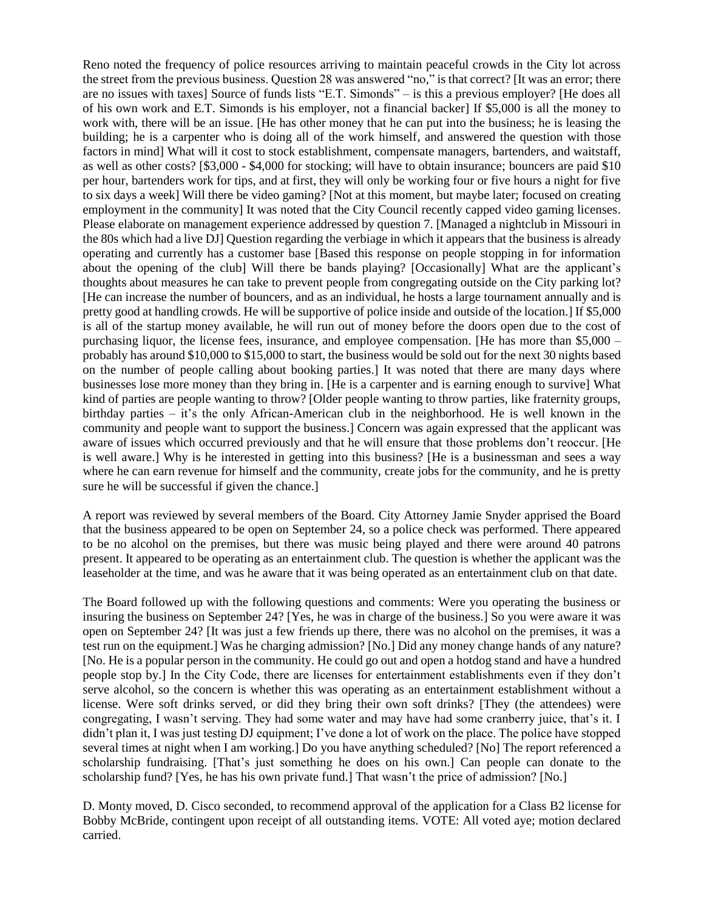Reno noted the frequency of police resources arriving to maintain peaceful crowds in the City lot across the street from the previous business. Question 28 was answered "no," is that correct? [It was an error; there are no issues with taxes] Source of funds lists "E.T. Simonds" – is this a previous employer? [He does all of his own work and E.T. Simonds is his employer, not a financial backer] If \$5,000 is all the money to work with, there will be an issue. [He has other money that he can put into the business; he is leasing the building; he is a carpenter who is doing all of the work himself, and answered the question with those factors in mind] What will it cost to stock establishment, compensate managers, bartenders, and waitstaff, as well as other costs? [\$3,000 - \$4,000 for stocking; will have to obtain insurance; bouncers are paid \$10 per hour, bartenders work for tips, and at first, they will only be working four or five hours a night for five to six days a week] Will there be video gaming? [Not at this moment, but maybe later; focused on creating employment in the community] It was noted that the City Council recently capped video gaming licenses. Please elaborate on management experience addressed by question 7. [Managed a nightclub in Missouri in the 80s which had a live DJ] Question regarding the verbiage in which it appears that the business is already operating and currently has a customer base [Based this response on people stopping in for information about the opening of the club] Will there be bands playing? [Occasionally] What are the applicant's thoughts about measures he can take to prevent people from congregating outside on the City parking lot? [He can increase the number of bouncers, and as an individual, he hosts a large tournament annually and is pretty good at handling crowds. He will be supportive of police inside and outside of the location.] If \$5,000 is all of the startup money available, he will run out of money before the doors open due to the cost of purchasing liquor, the license fees, insurance, and employee compensation. [He has more than \$5,000 – probably has around \$10,000 to \$15,000 to start, the business would be sold out for the next 30 nights based on the number of people calling about booking parties.] It was noted that there are many days where businesses lose more money than they bring in. [He is a carpenter and is earning enough to survive] What kind of parties are people wanting to throw? [Older people wanting to throw parties, like fraternity groups, birthday parties – it's the only African-American club in the neighborhood. He is well known in the community and people want to support the business.] Concern was again expressed that the applicant was aware of issues which occurred previously and that he will ensure that those problems don't reoccur. [He is well aware.] Why is he interested in getting into this business? [He is a businessman and sees a way where he can earn revenue for himself and the community, create jobs for the community, and he is pretty sure he will be successful if given the chance.]

A report was reviewed by several members of the Board. City Attorney Jamie Snyder apprised the Board that the business appeared to be open on September 24, so a police check was performed. There appeared to be no alcohol on the premises, but there was music being played and there were around 40 patrons present. It appeared to be operating as an entertainment club. The question is whether the applicant was the leaseholder at the time, and was he aware that it was being operated as an entertainment club on that date.

The Board followed up with the following questions and comments: Were you operating the business or insuring the business on September 24? [Yes, he was in charge of the business.] So you were aware it was open on September 24? [It was just a few friends up there, there was no alcohol on the premises, it was a test run on the equipment.] Was he charging admission? [No.] Did any money change hands of any nature? [No. He is a popular person in the community. He could go out and open a hotdog stand and have a hundred people stop by.] In the City Code, there are licenses for entertainment establishments even if they don't serve alcohol, so the concern is whether this was operating as an entertainment establishment without a license. Were soft drinks served, or did they bring their own soft drinks? [They (the attendees) were congregating, I wasn't serving. They had some water and may have had some cranberry juice, that's it. I didn't plan it, I was just testing DJ equipment; I've done a lot of work on the place. The police have stopped several times at night when I am working.] Do you have anything scheduled? [No] The report referenced a scholarship fundraising. [That's just something he does on his own.] Can people can donate to the scholarship fund? [Yes, he has his own private fund.] That wasn't the price of admission? [No.]

D. Monty moved, D. Cisco seconded, to recommend approval of the application for a Class B2 license for Bobby McBride, contingent upon receipt of all outstanding items. VOTE: All voted aye; motion declared carried.